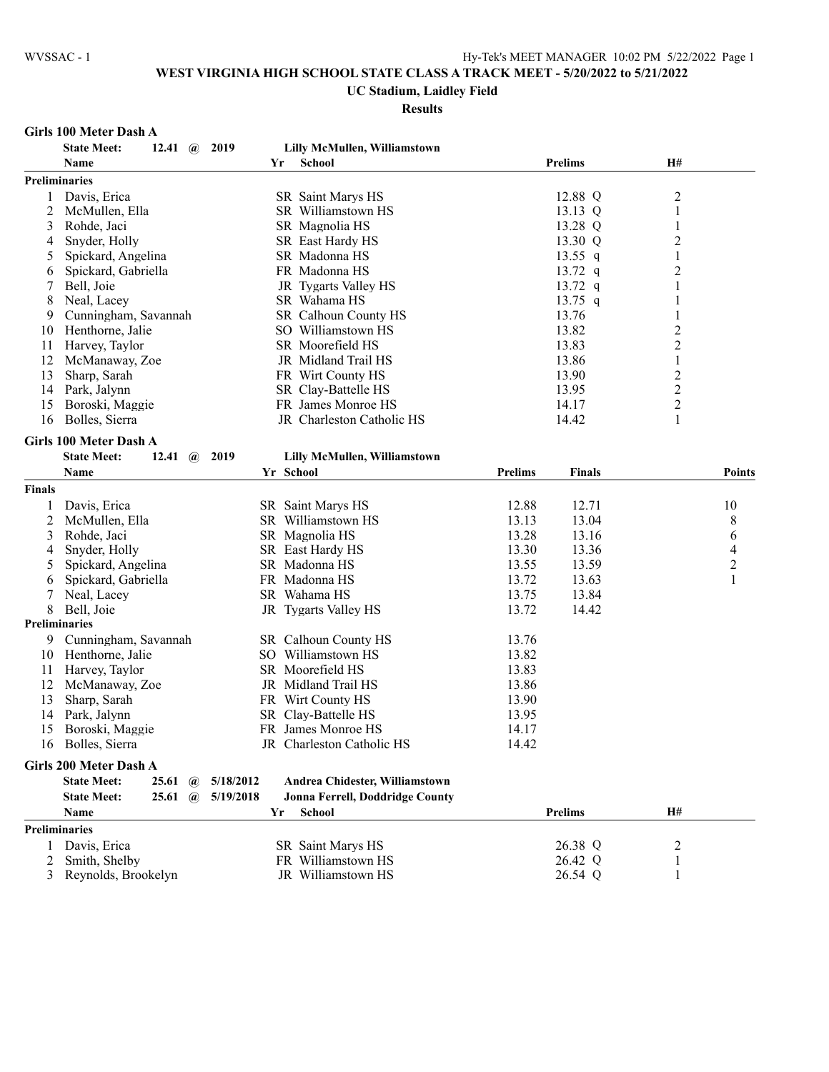# **UC Stadium, Laidley Field**

## **Results**

#### **Girls 100 Meter Dash A**

| <b>Prelims</b><br>H#<br>Name<br><b>School</b><br>Yr<br><b>Preliminaries</b><br>12.88 Q<br>2<br>Davis, Erica<br>SR Saint Marys HS<br>1<br>$\mathbf{1}$<br>2<br>13.13 Q<br>McMullen, Ella<br>SR Williamstown HS<br>SR Magnolia HS<br>13.28 Q<br>1<br>3<br>Rohde, Jaci<br>$\overline{c}$<br>Snyder, Holly<br>SR East Hardy HS<br>13.30 Q<br>4<br>$\,1\,$<br>13.55 $q$<br>5<br>Spickard, Angelina<br>SR Madonna HS<br>$\overline{c}$<br>13.72 q<br>Spickard, Gabriella<br>FR Madonna HS<br>6<br>13.72 $q$<br>7<br>Bell, Joie<br>JR Tygarts Valley HS<br>1<br>13.75 $q$<br>8<br>Neal, Lacey<br>SR Wahama HS<br>1<br>Cunningham, Savannah<br><b>SR</b> Calhoun County HS<br>13.76<br>1<br>9<br>$\overline{c}$<br>13.82<br>Henthorne, Jalie<br>SO Williamstown HS<br>10<br>$\overline{c}$<br>13.83<br>11<br>SR Moorefield HS<br>Harvey, Taylor<br>12<br>13.86<br>$\mathbf{1}$<br>McManaway, Zoe<br>JR Midland Trail HS<br>$\overline{c}$<br>13<br>Sharp, Sarah<br>13.90<br>FR Wirt County HS<br>$\overline{c}$<br>SR Clay-Battelle HS<br>13.95<br>14<br>Park, Jalynn<br>$\overline{c}$<br>15<br>Boroski, Maggie<br>FR James Monroe HS<br>14.17<br>$\mathbf{1}$<br>16<br>Bolles, Sierra<br>JR Charleston Catholic HS<br>14.42<br><b>Girls 100 Meter Dash A</b><br><b>State Meet:</b><br>Lilly McMullen, Williamstown<br>12.41<br>$\mathbf{a}$<br>2019<br>Yr School<br><b>Prelims</b><br><b>Finals</b><br>Name<br><b>Points</b><br>Davis, Erica<br>SR Saint Marys HS<br>12.88<br>12.71<br>10<br>1<br>8<br>2<br>McMullen, Ella<br>SR Williamstown HS<br>13.13<br>13.04<br>3<br>SR Magnolia HS<br>13.28<br>6<br>Rohde, Jaci<br>13.16<br>4<br>Snyder, Holly<br>SR East Hardy HS<br>13.30<br>13.36<br>4<br>$\overline{c}$<br>13.55<br>13.59<br>5<br>Spickard, Angelina<br>SR Madonna HS<br>$\mathbf{1}$<br>FR Madonna HS<br>13.72<br>Spickard, Gabriella<br>13.63<br>6<br>Neal, Lacey<br>SR Wahama HS<br>13.75<br>13.84<br>7<br>8<br>Bell, Joie<br>JR Tygarts Valley HS<br>14.42<br>13.72<br><b>Preliminaries</b><br>9<br>SR Calhoun County HS<br>13.76<br>Cunningham, Savannah<br>SO Williamstown HS<br>Henthorne, Jalie<br>13.82<br>10<br>SR Moorefield HS<br>13.83<br>11<br>Harvey, Taylor<br>12<br>McManaway, Zoe<br>JR Midland Trail HS<br>13.86<br>13<br>Sharp, Sarah<br>FR Wirt County HS<br>13.90<br>Park, Jalynn<br>SR Clay-Battelle HS<br>14<br>13.95<br>FR James Monroe HS<br>14.17<br>15<br>Boroski, Maggie<br>16<br>Bolles, Sierra<br>14.42<br>JR Charleston Catholic HS<br>Girls 200 Meter Dash A<br><b>State Meet:</b><br>5/18/2012<br>25.61<br>Andrea Chidester, Williamstown<br>$\mathbf{a}$<br>5/19/2018<br>Jonna Ferrell, Doddridge County<br><b>State Meet:</b><br>25.61<br>$\mathbf{a}$<br><b>Prelims</b><br>H#<br>Name<br>Yr<br><b>School</b><br><b>Preliminaries</b><br>26.38 Q<br>Davis, Erica<br>SR Saint Marys HS<br>2<br>1<br>Smith, Shelby<br>FR Williamstown HS<br>26.42 Q<br>2<br>1<br>Reynolds, Brookelyn<br>JR Williamstown HS<br>3<br>1 |               | <b>State Meet:</b><br>12.41 $\omega$ | 2019 | Lilly McMullen, Williamstown |         |  |
|-------------------------------------------------------------------------------------------------------------------------------------------------------------------------------------------------------------------------------------------------------------------------------------------------------------------------------------------------------------------------------------------------------------------------------------------------------------------------------------------------------------------------------------------------------------------------------------------------------------------------------------------------------------------------------------------------------------------------------------------------------------------------------------------------------------------------------------------------------------------------------------------------------------------------------------------------------------------------------------------------------------------------------------------------------------------------------------------------------------------------------------------------------------------------------------------------------------------------------------------------------------------------------------------------------------------------------------------------------------------------------------------------------------------------------------------------------------------------------------------------------------------------------------------------------------------------------------------------------------------------------------------------------------------------------------------------------------------------------------------------------------------------------------------------------------------------------------------------------------------------------------------------------------------------------------------------------------------------------------------------------------------------------------------------------------------------------------------------------------------------------------------------------------------------------------------------------------------------------------------------------------------------------------------------------------------------------------------------------------------------------------------------------------------------------------------------------------------------------------------------------------------------------------------------------------------------------------------------------------------------------------------------------------------------------------------------------------------------------------------------------------------------------------------------------------------------------------------------------------------------------------------------------------------------------------------------------------|---------------|--------------------------------------|------|------------------------------|---------|--|
|                                                                                                                                                                                                                                                                                                                                                                                                                                                                                                                                                                                                                                                                                                                                                                                                                                                                                                                                                                                                                                                                                                                                                                                                                                                                                                                                                                                                                                                                                                                                                                                                                                                                                                                                                                                                                                                                                                                                                                                                                                                                                                                                                                                                                                                                                                                                                                                                                                                                                                                                                                                                                                                                                                                                                                                                                                                                                                                                                             |               |                                      |      |                              |         |  |
|                                                                                                                                                                                                                                                                                                                                                                                                                                                                                                                                                                                                                                                                                                                                                                                                                                                                                                                                                                                                                                                                                                                                                                                                                                                                                                                                                                                                                                                                                                                                                                                                                                                                                                                                                                                                                                                                                                                                                                                                                                                                                                                                                                                                                                                                                                                                                                                                                                                                                                                                                                                                                                                                                                                                                                                                                                                                                                                                                             |               |                                      |      |                              |         |  |
|                                                                                                                                                                                                                                                                                                                                                                                                                                                                                                                                                                                                                                                                                                                                                                                                                                                                                                                                                                                                                                                                                                                                                                                                                                                                                                                                                                                                                                                                                                                                                                                                                                                                                                                                                                                                                                                                                                                                                                                                                                                                                                                                                                                                                                                                                                                                                                                                                                                                                                                                                                                                                                                                                                                                                                                                                                                                                                                                                             |               |                                      |      |                              |         |  |
|                                                                                                                                                                                                                                                                                                                                                                                                                                                                                                                                                                                                                                                                                                                                                                                                                                                                                                                                                                                                                                                                                                                                                                                                                                                                                                                                                                                                                                                                                                                                                                                                                                                                                                                                                                                                                                                                                                                                                                                                                                                                                                                                                                                                                                                                                                                                                                                                                                                                                                                                                                                                                                                                                                                                                                                                                                                                                                                                                             |               |                                      |      |                              |         |  |
|                                                                                                                                                                                                                                                                                                                                                                                                                                                                                                                                                                                                                                                                                                                                                                                                                                                                                                                                                                                                                                                                                                                                                                                                                                                                                                                                                                                                                                                                                                                                                                                                                                                                                                                                                                                                                                                                                                                                                                                                                                                                                                                                                                                                                                                                                                                                                                                                                                                                                                                                                                                                                                                                                                                                                                                                                                                                                                                                                             |               |                                      |      |                              |         |  |
|                                                                                                                                                                                                                                                                                                                                                                                                                                                                                                                                                                                                                                                                                                                                                                                                                                                                                                                                                                                                                                                                                                                                                                                                                                                                                                                                                                                                                                                                                                                                                                                                                                                                                                                                                                                                                                                                                                                                                                                                                                                                                                                                                                                                                                                                                                                                                                                                                                                                                                                                                                                                                                                                                                                                                                                                                                                                                                                                                             |               |                                      |      |                              |         |  |
|                                                                                                                                                                                                                                                                                                                                                                                                                                                                                                                                                                                                                                                                                                                                                                                                                                                                                                                                                                                                                                                                                                                                                                                                                                                                                                                                                                                                                                                                                                                                                                                                                                                                                                                                                                                                                                                                                                                                                                                                                                                                                                                                                                                                                                                                                                                                                                                                                                                                                                                                                                                                                                                                                                                                                                                                                                                                                                                                                             |               |                                      |      |                              |         |  |
|                                                                                                                                                                                                                                                                                                                                                                                                                                                                                                                                                                                                                                                                                                                                                                                                                                                                                                                                                                                                                                                                                                                                                                                                                                                                                                                                                                                                                                                                                                                                                                                                                                                                                                                                                                                                                                                                                                                                                                                                                                                                                                                                                                                                                                                                                                                                                                                                                                                                                                                                                                                                                                                                                                                                                                                                                                                                                                                                                             |               |                                      |      |                              |         |  |
|                                                                                                                                                                                                                                                                                                                                                                                                                                                                                                                                                                                                                                                                                                                                                                                                                                                                                                                                                                                                                                                                                                                                                                                                                                                                                                                                                                                                                                                                                                                                                                                                                                                                                                                                                                                                                                                                                                                                                                                                                                                                                                                                                                                                                                                                                                                                                                                                                                                                                                                                                                                                                                                                                                                                                                                                                                                                                                                                                             |               |                                      |      |                              |         |  |
|                                                                                                                                                                                                                                                                                                                                                                                                                                                                                                                                                                                                                                                                                                                                                                                                                                                                                                                                                                                                                                                                                                                                                                                                                                                                                                                                                                                                                                                                                                                                                                                                                                                                                                                                                                                                                                                                                                                                                                                                                                                                                                                                                                                                                                                                                                                                                                                                                                                                                                                                                                                                                                                                                                                                                                                                                                                                                                                                                             |               |                                      |      |                              |         |  |
|                                                                                                                                                                                                                                                                                                                                                                                                                                                                                                                                                                                                                                                                                                                                                                                                                                                                                                                                                                                                                                                                                                                                                                                                                                                                                                                                                                                                                                                                                                                                                                                                                                                                                                                                                                                                                                                                                                                                                                                                                                                                                                                                                                                                                                                                                                                                                                                                                                                                                                                                                                                                                                                                                                                                                                                                                                                                                                                                                             |               |                                      |      |                              |         |  |
|                                                                                                                                                                                                                                                                                                                                                                                                                                                                                                                                                                                                                                                                                                                                                                                                                                                                                                                                                                                                                                                                                                                                                                                                                                                                                                                                                                                                                                                                                                                                                                                                                                                                                                                                                                                                                                                                                                                                                                                                                                                                                                                                                                                                                                                                                                                                                                                                                                                                                                                                                                                                                                                                                                                                                                                                                                                                                                                                                             |               |                                      |      |                              |         |  |
|                                                                                                                                                                                                                                                                                                                                                                                                                                                                                                                                                                                                                                                                                                                                                                                                                                                                                                                                                                                                                                                                                                                                                                                                                                                                                                                                                                                                                                                                                                                                                                                                                                                                                                                                                                                                                                                                                                                                                                                                                                                                                                                                                                                                                                                                                                                                                                                                                                                                                                                                                                                                                                                                                                                                                                                                                                                                                                                                                             |               |                                      |      |                              |         |  |
|                                                                                                                                                                                                                                                                                                                                                                                                                                                                                                                                                                                                                                                                                                                                                                                                                                                                                                                                                                                                                                                                                                                                                                                                                                                                                                                                                                                                                                                                                                                                                                                                                                                                                                                                                                                                                                                                                                                                                                                                                                                                                                                                                                                                                                                                                                                                                                                                                                                                                                                                                                                                                                                                                                                                                                                                                                                                                                                                                             |               |                                      |      |                              |         |  |
|                                                                                                                                                                                                                                                                                                                                                                                                                                                                                                                                                                                                                                                                                                                                                                                                                                                                                                                                                                                                                                                                                                                                                                                                                                                                                                                                                                                                                                                                                                                                                                                                                                                                                                                                                                                                                                                                                                                                                                                                                                                                                                                                                                                                                                                                                                                                                                                                                                                                                                                                                                                                                                                                                                                                                                                                                                                                                                                                                             |               |                                      |      |                              |         |  |
|                                                                                                                                                                                                                                                                                                                                                                                                                                                                                                                                                                                                                                                                                                                                                                                                                                                                                                                                                                                                                                                                                                                                                                                                                                                                                                                                                                                                                                                                                                                                                                                                                                                                                                                                                                                                                                                                                                                                                                                                                                                                                                                                                                                                                                                                                                                                                                                                                                                                                                                                                                                                                                                                                                                                                                                                                                                                                                                                                             |               |                                      |      |                              |         |  |
|                                                                                                                                                                                                                                                                                                                                                                                                                                                                                                                                                                                                                                                                                                                                                                                                                                                                                                                                                                                                                                                                                                                                                                                                                                                                                                                                                                                                                                                                                                                                                                                                                                                                                                                                                                                                                                                                                                                                                                                                                                                                                                                                                                                                                                                                                                                                                                                                                                                                                                                                                                                                                                                                                                                                                                                                                                                                                                                                                             |               |                                      |      |                              |         |  |
|                                                                                                                                                                                                                                                                                                                                                                                                                                                                                                                                                                                                                                                                                                                                                                                                                                                                                                                                                                                                                                                                                                                                                                                                                                                                                                                                                                                                                                                                                                                                                                                                                                                                                                                                                                                                                                                                                                                                                                                                                                                                                                                                                                                                                                                                                                                                                                                                                                                                                                                                                                                                                                                                                                                                                                                                                                                                                                                                                             |               |                                      |      |                              |         |  |
|                                                                                                                                                                                                                                                                                                                                                                                                                                                                                                                                                                                                                                                                                                                                                                                                                                                                                                                                                                                                                                                                                                                                                                                                                                                                                                                                                                                                                                                                                                                                                                                                                                                                                                                                                                                                                                                                                                                                                                                                                                                                                                                                                                                                                                                                                                                                                                                                                                                                                                                                                                                                                                                                                                                                                                                                                                                                                                                                                             |               |                                      |      |                              |         |  |
|                                                                                                                                                                                                                                                                                                                                                                                                                                                                                                                                                                                                                                                                                                                                                                                                                                                                                                                                                                                                                                                                                                                                                                                                                                                                                                                                                                                                                                                                                                                                                                                                                                                                                                                                                                                                                                                                                                                                                                                                                                                                                                                                                                                                                                                                                                                                                                                                                                                                                                                                                                                                                                                                                                                                                                                                                                                                                                                                                             |               |                                      |      |                              |         |  |
|                                                                                                                                                                                                                                                                                                                                                                                                                                                                                                                                                                                                                                                                                                                                                                                                                                                                                                                                                                                                                                                                                                                                                                                                                                                                                                                                                                                                                                                                                                                                                                                                                                                                                                                                                                                                                                                                                                                                                                                                                                                                                                                                                                                                                                                                                                                                                                                                                                                                                                                                                                                                                                                                                                                                                                                                                                                                                                                                                             |               |                                      |      |                              |         |  |
|                                                                                                                                                                                                                                                                                                                                                                                                                                                                                                                                                                                                                                                                                                                                                                                                                                                                                                                                                                                                                                                                                                                                                                                                                                                                                                                                                                                                                                                                                                                                                                                                                                                                                                                                                                                                                                                                                                                                                                                                                                                                                                                                                                                                                                                                                                                                                                                                                                                                                                                                                                                                                                                                                                                                                                                                                                                                                                                                                             |               |                                      |      |                              |         |  |
|                                                                                                                                                                                                                                                                                                                                                                                                                                                                                                                                                                                                                                                                                                                                                                                                                                                                                                                                                                                                                                                                                                                                                                                                                                                                                                                                                                                                                                                                                                                                                                                                                                                                                                                                                                                                                                                                                                                                                                                                                                                                                                                                                                                                                                                                                                                                                                                                                                                                                                                                                                                                                                                                                                                                                                                                                                                                                                                                                             | <b>Finals</b> |                                      |      |                              |         |  |
|                                                                                                                                                                                                                                                                                                                                                                                                                                                                                                                                                                                                                                                                                                                                                                                                                                                                                                                                                                                                                                                                                                                                                                                                                                                                                                                                                                                                                                                                                                                                                                                                                                                                                                                                                                                                                                                                                                                                                                                                                                                                                                                                                                                                                                                                                                                                                                                                                                                                                                                                                                                                                                                                                                                                                                                                                                                                                                                                                             |               |                                      |      |                              |         |  |
|                                                                                                                                                                                                                                                                                                                                                                                                                                                                                                                                                                                                                                                                                                                                                                                                                                                                                                                                                                                                                                                                                                                                                                                                                                                                                                                                                                                                                                                                                                                                                                                                                                                                                                                                                                                                                                                                                                                                                                                                                                                                                                                                                                                                                                                                                                                                                                                                                                                                                                                                                                                                                                                                                                                                                                                                                                                                                                                                                             |               |                                      |      |                              |         |  |
|                                                                                                                                                                                                                                                                                                                                                                                                                                                                                                                                                                                                                                                                                                                                                                                                                                                                                                                                                                                                                                                                                                                                                                                                                                                                                                                                                                                                                                                                                                                                                                                                                                                                                                                                                                                                                                                                                                                                                                                                                                                                                                                                                                                                                                                                                                                                                                                                                                                                                                                                                                                                                                                                                                                                                                                                                                                                                                                                                             |               |                                      |      |                              |         |  |
|                                                                                                                                                                                                                                                                                                                                                                                                                                                                                                                                                                                                                                                                                                                                                                                                                                                                                                                                                                                                                                                                                                                                                                                                                                                                                                                                                                                                                                                                                                                                                                                                                                                                                                                                                                                                                                                                                                                                                                                                                                                                                                                                                                                                                                                                                                                                                                                                                                                                                                                                                                                                                                                                                                                                                                                                                                                                                                                                                             |               |                                      |      |                              |         |  |
|                                                                                                                                                                                                                                                                                                                                                                                                                                                                                                                                                                                                                                                                                                                                                                                                                                                                                                                                                                                                                                                                                                                                                                                                                                                                                                                                                                                                                                                                                                                                                                                                                                                                                                                                                                                                                                                                                                                                                                                                                                                                                                                                                                                                                                                                                                                                                                                                                                                                                                                                                                                                                                                                                                                                                                                                                                                                                                                                                             |               |                                      |      |                              |         |  |
|                                                                                                                                                                                                                                                                                                                                                                                                                                                                                                                                                                                                                                                                                                                                                                                                                                                                                                                                                                                                                                                                                                                                                                                                                                                                                                                                                                                                                                                                                                                                                                                                                                                                                                                                                                                                                                                                                                                                                                                                                                                                                                                                                                                                                                                                                                                                                                                                                                                                                                                                                                                                                                                                                                                                                                                                                                                                                                                                                             |               |                                      |      |                              |         |  |
|                                                                                                                                                                                                                                                                                                                                                                                                                                                                                                                                                                                                                                                                                                                                                                                                                                                                                                                                                                                                                                                                                                                                                                                                                                                                                                                                                                                                                                                                                                                                                                                                                                                                                                                                                                                                                                                                                                                                                                                                                                                                                                                                                                                                                                                                                                                                                                                                                                                                                                                                                                                                                                                                                                                                                                                                                                                                                                                                                             |               |                                      |      |                              |         |  |
|                                                                                                                                                                                                                                                                                                                                                                                                                                                                                                                                                                                                                                                                                                                                                                                                                                                                                                                                                                                                                                                                                                                                                                                                                                                                                                                                                                                                                                                                                                                                                                                                                                                                                                                                                                                                                                                                                                                                                                                                                                                                                                                                                                                                                                                                                                                                                                                                                                                                                                                                                                                                                                                                                                                                                                                                                                                                                                                                                             |               |                                      |      |                              |         |  |
|                                                                                                                                                                                                                                                                                                                                                                                                                                                                                                                                                                                                                                                                                                                                                                                                                                                                                                                                                                                                                                                                                                                                                                                                                                                                                                                                                                                                                                                                                                                                                                                                                                                                                                                                                                                                                                                                                                                                                                                                                                                                                                                                                                                                                                                                                                                                                                                                                                                                                                                                                                                                                                                                                                                                                                                                                                                                                                                                                             |               |                                      |      |                              |         |  |
|                                                                                                                                                                                                                                                                                                                                                                                                                                                                                                                                                                                                                                                                                                                                                                                                                                                                                                                                                                                                                                                                                                                                                                                                                                                                                                                                                                                                                                                                                                                                                                                                                                                                                                                                                                                                                                                                                                                                                                                                                                                                                                                                                                                                                                                                                                                                                                                                                                                                                                                                                                                                                                                                                                                                                                                                                                                                                                                                                             |               |                                      |      |                              |         |  |
|                                                                                                                                                                                                                                                                                                                                                                                                                                                                                                                                                                                                                                                                                                                                                                                                                                                                                                                                                                                                                                                                                                                                                                                                                                                                                                                                                                                                                                                                                                                                                                                                                                                                                                                                                                                                                                                                                                                                                                                                                                                                                                                                                                                                                                                                                                                                                                                                                                                                                                                                                                                                                                                                                                                                                                                                                                                                                                                                                             |               |                                      |      |                              |         |  |
|                                                                                                                                                                                                                                                                                                                                                                                                                                                                                                                                                                                                                                                                                                                                                                                                                                                                                                                                                                                                                                                                                                                                                                                                                                                                                                                                                                                                                                                                                                                                                                                                                                                                                                                                                                                                                                                                                                                                                                                                                                                                                                                                                                                                                                                                                                                                                                                                                                                                                                                                                                                                                                                                                                                                                                                                                                                                                                                                                             |               |                                      |      |                              |         |  |
|                                                                                                                                                                                                                                                                                                                                                                                                                                                                                                                                                                                                                                                                                                                                                                                                                                                                                                                                                                                                                                                                                                                                                                                                                                                                                                                                                                                                                                                                                                                                                                                                                                                                                                                                                                                                                                                                                                                                                                                                                                                                                                                                                                                                                                                                                                                                                                                                                                                                                                                                                                                                                                                                                                                                                                                                                                                                                                                                                             |               |                                      |      |                              |         |  |
|                                                                                                                                                                                                                                                                                                                                                                                                                                                                                                                                                                                                                                                                                                                                                                                                                                                                                                                                                                                                                                                                                                                                                                                                                                                                                                                                                                                                                                                                                                                                                                                                                                                                                                                                                                                                                                                                                                                                                                                                                                                                                                                                                                                                                                                                                                                                                                                                                                                                                                                                                                                                                                                                                                                                                                                                                                                                                                                                                             |               |                                      |      |                              |         |  |
|                                                                                                                                                                                                                                                                                                                                                                                                                                                                                                                                                                                                                                                                                                                                                                                                                                                                                                                                                                                                                                                                                                                                                                                                                                                                                                                                                                                                                                                                                                                                                                                                                                                                                                                                                                                                                                                                                                                                                                                                                                                                                                                                                                                                                                                                                                                                                                                                                                                                                                                                                                                                                                                                                                                                                                                                                                                                                                                                                             |               |                                      |      |                              |         |  |
|                                                                                                                                                                                                                                                                                                                                                                                                                                                                                                                                                                                                                                                                                                                                                                                                                                                                                                                                                                                                                                                                                                                                                                                                                                                                                                                                                                                                                                                                                                                                                                                                                                                                                                                                                                                                                                                                                                                                                                                                                                                                                                                                                                                                                                                                                                                                                                                                                                                                                                                                                                                                                                                                                                                                                                                                                                                                                                                                                             |               |                                      |      |                              |         |  |
|                                                                                                                                                                                                                                                                                                                                                                                                                                                                                                                                                                                                                                                                                                                                                                                                                                                                                                                                                                                                                                                                                                                                                                                                                                                                                                                                                                                                                                                                                                                                                                                                                                                                                                                                                                                                                                                                                                                                                                                                                                                                                                                                                                                                                                                                                                                                                                                                                                                                                                                                                                                                                                                                                                                                                                                                                                                                                                                                                             |               |                                      |      |                              |         |  |
|                                                                                                                                                                                                                                                                                                                                                                                                                                                                                                                                                                                                                                                                                                                                                                                                                                                                                                                                                                                                                                                                                                                                                                                                                                                                                                                                                                                                                                                                                                                                                                                                                                                                                                                                                                                                                                                                                                                                                                                                                                                                                                                                                                                                                                                                                                                                                                                                                                                                                                                                                                                                                                                                                                                                                                                                                                                                                                                                                             |               |                                      |      |                              |         |  |
|                                                                                                                                                                                                                                                                                                                                                                                                                                                                                                                                                                                                                                                                                                                                                                                                                                                                                                                                                                                                                                                                                                                                                                                                                                                                                                                                                                                                                                                                                                                                                                                                                                                                                                                                                                                                                                                                                                                                                                                                                                                                                                                                                                                                                                                                                                                                                                                                                                                                                                                                                                                                                                                                                                                                                                                                                                                                                                                                                             |               |                                      |      |                              |         |  |
|                                                                                                                                                                                                                                                                                                                                                                                                                                                                                                                                                                                                                                                                                                                                                                                                                                                                                                                                                                                                                                                                                                                                                                                                                                                                                                                                                                                                                                                                                                                                                                                                                                                                                                                                                                                                                                                                                                                                                                                                                                                                                                                                                                                                                                                                                                                                                                                                                                                                                                                                                                                                                                                                                                                                                                                                                                                                                                                                                             |               |                                      |      |                              |         |  |
|                                                                                                                                                                                                                                                                                                                                                                                                                                                                                                                                                                                                                                                                                                                                                                                                                                                                                                                                                                                                                                                                                                                                                                                                                                                                                                                                                                                                                                                                                                                                                                                                                                                                                                                                                                                                                                                                                                                                                                                                                                                                                                                                                                                                                                                                                                                                                                                                                                                                                                                                                                                                                                                                                                                                                                                                                                                                                                                                                             |               |                                      |      |                              |         |  |
|                                                                                                                                                                                                                                                                                                                                                                                                                                                                                                                                                                                                                                                                                                                                                                                                                                                                                                                                                                                                                                                                                                                                                                                                                                                                                                                                                                                                                                                                                                                                                                                                                                                                                                                                                                                                                                                                                                                                                                                                                                                                                                                                                                                                                                                                                                                                                                                                                                                                                                                                                                                                                                                                                                                                                                                                                                                                                                                                                             |               |                                      |      |                              |         |  |
|                                                                                                                                                                                                                                                                                                                                                                                                                                                                                                                                                                                                                                                                                                                                                                                                                                                                                                                                                                                                                                                                                                                                                                                                                                                                                                                                                                                                                                                                                                                                                                                                                                                                                                                                                                                                                                                                                                                                                                                                                                                                                                                                                                                                                                                                                                                                                                                                                                                                                                                                                                                                                                                                                                                                                                                                                                                                                                                                                             |               |                                      |      |                              |         |  |
|                                                                                                                                                                                                                                                                                                                                                                                                                                                                                                                                                                                                                                                                                                                                                                                                                                                                                                                                                                                                                                                                                                                                                                                                                                                                                                                                                                                                                                                                                                                                                                                                                                                                                                                                                                                                                                                                                                                                                                                                                                                                                                                                                                                                                                                                                                                                                                                                                                                                                                                                                                                                                                                                                                                                                                                                                                                                                                                                                             |               |                                      |      |                              |         |  |
|                                                                                                                                                                                                                                                                                                                                                                                                                                                                                                                                                                                                                                                                                                                                                                                                                                                                                                                                                                                                                                                                                                                                                                                                                                                                                                                                                                                                                                                                                                                                                                                                                                                                                                                                                                                                                                                                                                                                                                                                                                                                                                                                                                                                                                                                                                                                                                                                                                                                                                                                                                                                                                                                                                                                                                                                                                                                                                                                                             |               |                                      |      |                              |         |  |
|                                                                                                                                                                                                                                                                                                                                                                                                                                                                                                                                                                                                                                                                                                                                                                                                                                                                                                                                                                                                                                                                                                                                                                                                                                                                                                                                                                                                                                                                                                                                                                                                                                                                                                                                                                                                                                                                                                                                                                                                                                                                                                                                                                                                                                                                                                                                                                                                                                                                                                                                                                                                                                                                                                                                                                                                                                                                                                                                                             |               |                                      |      |                              | 26.54 Q |  |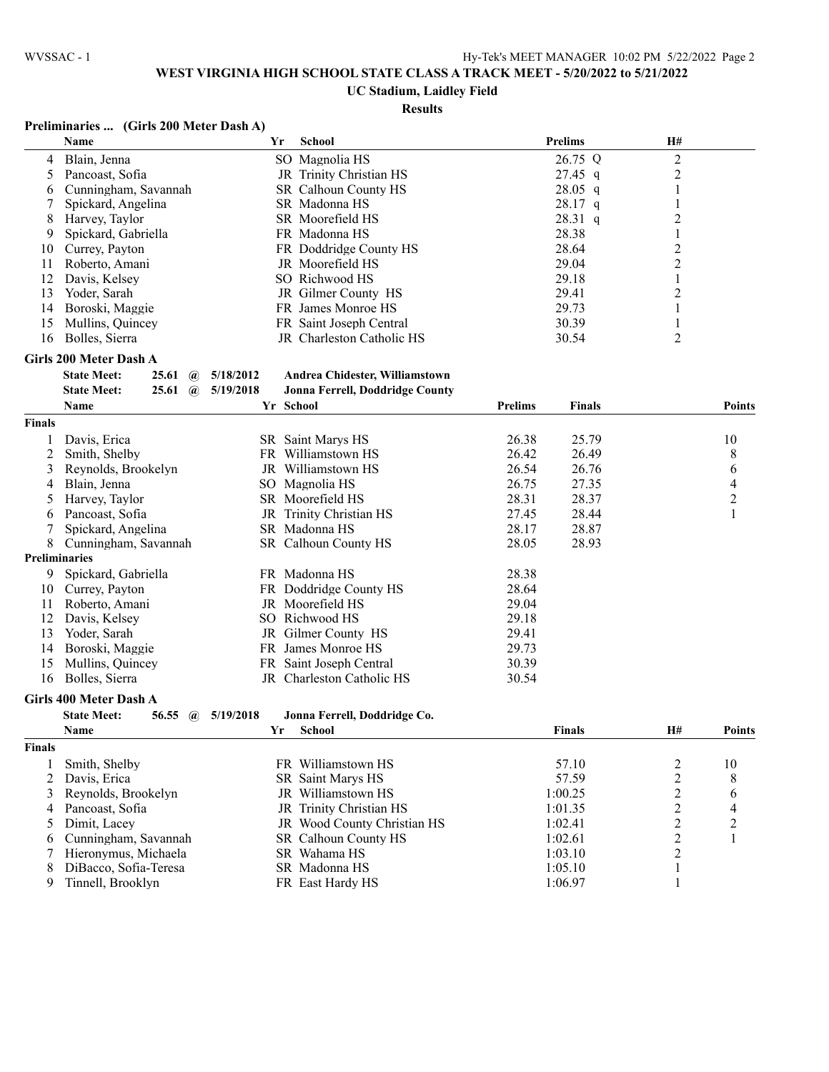#### **UC Stadium, Laidley Field**

#### **Results**

## **Preliminaries ... (Girls 200 Meter Dash A)**

|    | Name                 | Yr | School                      | <b>Prelims</b> | <b>H#</b> |  |
|----|----------------------|----|-----------------------------|----------------|-----------|--|
|    | 4 Blain, Jenna       |    | SO Magnolia HS              | 26.75 Q        | ∍         |  |
|    | 5 Pancoast, Sofia    |    | JR Trinity Christian HS     | $27.45$ q      |           |  |
| 6  | Cunningham, Savannah |    | <b>SR</b> Calhoun County HS | $28.05$ q      |           |  |
|    | Spickard, Angelina   |    | SR Madonna HS               | $28.17$ q      |           |  |
| 8  | Harvey, Taylor       |    | SR Moorefield HS            | $28.31$ q      |           |  |
| 9  | Spickard, Gabriella  |    | FR Madonna HS               | 28.38          |           |  |
| 10 | Currey, Payton       |    | FR Doddridge County HS      | 28.64          |           |  |
| 11 | Roberto, Amani       |    | JR Moorefield HS            | 29.04          |           |  |
| 12 | Davis, Kelsev        |    | SO Richwood HS              | 29.18          |           |  |
| 13 | Yoder, Sarah         |    | JR Gilmer County HS         | 29.41          | ↑         |  |
| 14 | Boroski, Maggie      |    | FR James Monroe HS          | 29.73          |           |  |
| 15 | Mullins, Quincey     |    | FR Saint Joseph Central     | 30.39          |           |  |
| 16 | Bolles, Sierra       |    | JR Charleston Catholic HS   | 30.54          |           |  |

#### **Girls 200 Meter Dash A**

| <b>State Meet:</b> |  | $25.61 \quad \textcircled{a} \quad 5/18/2012$ | Andrea Chidester, Williamstown  |
|--------------------|--|-----------------------------------------------|---------------------------------|
| <b>State Meet:</b> |  | $25.61 \quad \textcircled{a} \quad 5/19/2018$ | Jonna Ferrell, Doddridge County |
|                    |  |                                               |                                 |

|               | Name                 |     | Yr School               | <b>Prelims</b> | <b>Finals</b> | <b>Points</b> |
|---------------|----------------------|-----|-------------------------|----------------|---------------|---------------|
| <b>Finals</b> |                      |     |                         |                |               |               |
|               | Davis, Erica         |     | SR Saint Marys HS       | 26.38          | 25.79         | 10            |
|               | Smith, Shelby        | FR. | Williamstown HS         | 26.42          | 26.49         | 8             |
| 3.            | Reynolds, Brookelyn  | JR  | Williamstown HS         | 26.54          | 26.76         | 6             |
| 4             | Blain, Jenna         |     | SO Magnolia HS          | 26.75          | 27.35         | 4             |
| $\mathcal{D}$ | Harvey, Taylor       |     | SR Moorefield HS        | 28.31          | 28.37         | 2             |
| 6             | Pancoast, Sofia      |     | JR Trinity Christian HS | 27.45          | 28.44         |               |
|               | Spickard, Angelina   |     | SR Madonna HS           | 28.17          | 28.87         |               |
| 8.            | Cunningham, Savannah |     | SR Calhoun County HS    | 28.05          | 28.93         |               |
|               | <b>Preliminaries</b> |     |                         |                |               |               |
| 9             | Spickard, Gabriella  |     | FR Madonna HS           | 28.38          |               |               |
| 10            | Currey, Payton       |     | FR Doddridge County HS  | 28.64          |               |               |
| 11            | Roberto, Amani       |     | JR Moorefield HS        | 29.04          |               |               |
| 12            | Davis, Kelsey        | SO. | Richwood HS             | 29.18          |               |               |
| 13            | Yoder, Sarah         |     | JR Gilmer County HS     | 29.41          |               |               |
| 14            | Boroski, Maggie      |     | FR James Monroe HS      | 29.73          |               |               |
| 15            | Mullins, Quincey     |     | FR Saint Joseph Central | 30.39          |               |               |
| 16            | Bolles, Sierra       | JR  | Charleston Catholic HS  | 30.54          |               |               |

#### **Girls 400 Meter Dash A**

#### **State Meet: 56.55 @ 5/19/2018 Jonna Ferrell, Doddridge Co.**

|               | <b>Name</b>             | Yr | School                      | Finals  | H# | <b>Points</b> |
|---------------|-------------------------|----|-----------------------------|---------|----|---------------|
| <b>Finals</b> |                         |    |                             |         |    |               |
|               | Smith, Shelby           |    | FR Williamstown HS          | 57.10   |    | 10            |
|               | 2 Davis, Erica          |    | SR Saint Marys HS           | 57.59   |    | 8             |
|               | 3 Reynolds, Brookelyn   |    | JR Williamstown HS          | 1:00.25 | ∍  | 6             |
|               | 4 Pancoast, Sofia       |    | JR Trinity Christian HS     | 1:01.35 |    | 4             |
|               | 5 Dimit, Lacev          |    | JR Wood County Christian HS | 1:02.41 |    |               |
|               | 6 Cunningham, Savannah  |    | SR Calhoun County HS        | 1:02.61 |    |               |
|               | 7 Hieronymus, Michaela  |    | SR Wahama HS                | 1:03.10 | ↑  |               |
|               | 8 DiBacco, Sofia-Teresa |    | SR Madonna HS               | 1:05.10 |    |               |
| 9             | Tinnell, Brooklyn       |    | FR East Hardy HS            | 1:06.97 |    |               |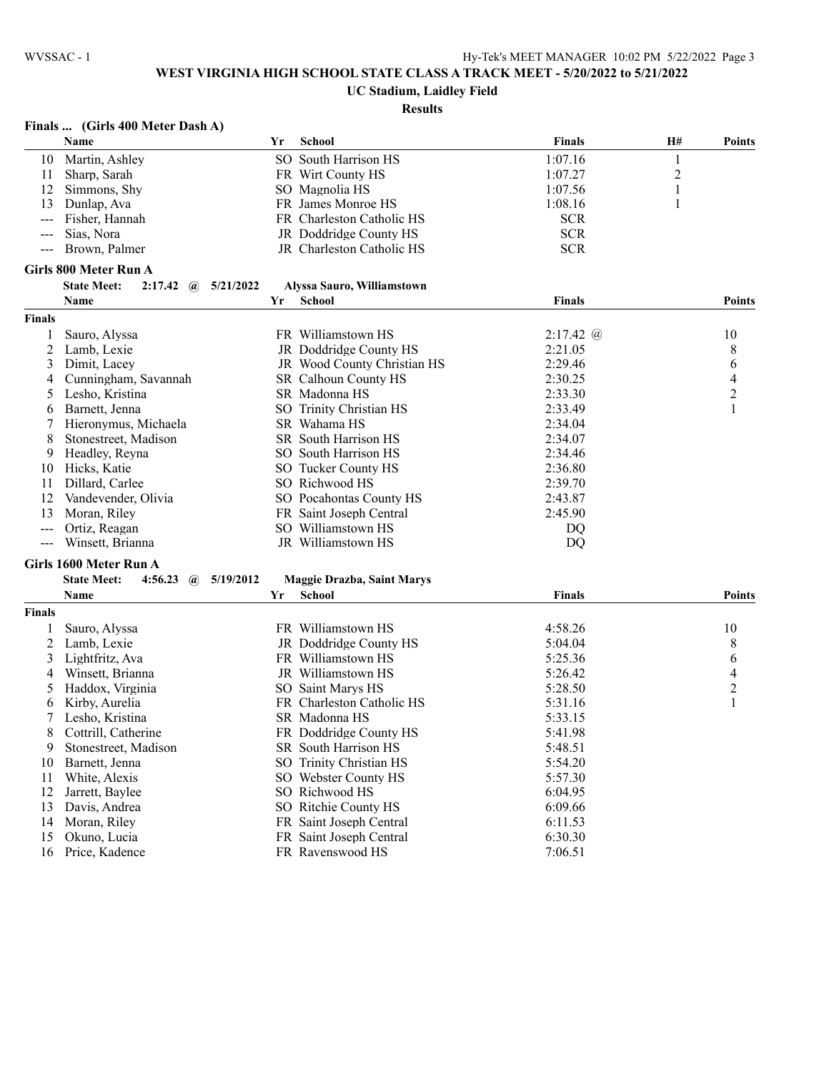# **UC Stadium, Laidley Field**

# **Results**

| Finals  (Girls 400 Meter Dash A) |  |  |  |  |  |
|----------------------------------|--|--|--|--|--|
|----------------------------------|--|--|--|--|--|

|               | Name                                                      | Yr | <b>School</b>                     | Finals        | H#             | <b>Points</b>  |
|---------------|-----------------------------------------------------------|----|-----------------------------------|---------------|----------------|----------------|
| 10            | Martin, Ashley                                            |    | SO South Harrison HS              | 1:07.16       | 1              |                |
| 11            | Sharp, Sarah                                              |    | FR Wirt County HS                 | 1:07.27       | $\overline{c}$ |                |
| 12            | Simmons, Shy                                              |    | SO Magnolia HS                    | 1:07.56       | 1              |                |
| 13            | Dunlap, Ava                                               |    | FR James Monroe HS                | 1:08.16       | 1              |                |
| $\sim$ $\sim$ | Fisher, Hannah                                            |    | FR Charleston Catholic HS         | <b>SCR</b>    |                |                |
| $---$         | Sias, Nora                                                |    | JR Doddridge County HS            | <b>SCR</b>    |                |                |
|               | Brown, Palmer                                             |    | JR Charleston Catholic HS         | <b>SCR</b>    |                |                |
|               | Girls 800 Meter Run A                                     |    |                                   |               |                |                |
|               | <b>State Meet:</b><br>$2:17.42 \quad \omega$<br>5/21/2022 |    | Alyssa Sauro, Williamstown        |               |                |                |
|               | Name                                                      | Yr | School                            | <b>Finals</b> |                | <b>Points</b>  |
| Finals        |                                                           |    |                                   |               |                |                |
| 1             | Sauro, Alyssa                                             |    | FR Williamstown HS                | $2:17.42 \ @$ |                | 10             |
| 2             | Lamb, Lexie                                               |    | JR Doddridge County HS            | 2:21.05       |                | 8              |
| 3             | Dimit, Lacey                                              |    | JR Wood County Christian HS       | 2:29.46       |                | 6              |
| 4             | Cunningham, Savannah                                      |    | SR Calhoun County HS              | 2:30.25       |                | 4              |
| 5             | Lesho, Kristina                                           |    | SR Madonna HS                     | 2:33.30       |                | $\overline{2}$ |
| 6             | Barnett, Jenna                                            |    | SO Trinity Christian HS           | 2:33.49       |                | $\mathbf{1}$   |
| 7             | Hieronymus, Michaela                                      |    | SR Wahama HS                      | 2:34.04       |                |                |
| 8             | Stonestreet, Madison                                      |    | SR South Harrison HS              | 2:34.07       |                |                |
|               |                                                           |    |                                   |               |                |                |
| 9             | Headley, Reyna                                            |    | SO South Harrison HS              | 2:34.46       |                |                |
| 10            | Hicks, Katie                                              |    | SO Tucker County HS               | 2:36.80       |                |                |
| 11            | Dillard, Carlee                                           |    | SO Richwood HS                    | 2:39.70       |                |                |
| 12            | Vandevender, Olivia                                       |    | SO Pocahontas County HS           | 2:43.87       |                |                |
| 13            | Moran, Riley                                              |    | FR Saint Joseph Central           | 2:45.90       |                |                |
| $---$         | Ortiz, Reagan                                             |    | SO Williamstown HS                | DQ            |                |                |
| $\sim$ $\sim$ | Winsett, Brianna                                          |    | JR Williamstown HS                | DQ            |                |                |
|               | Girls 1600 Meter Run A                                    |    |                                   |               |                |                |
|               | <b>State Meet:</b><br>4:56.23 $\omega$<br>5/19/2012       |    | <b>Maggie Drazba, Saint Marys</b> |               |                |                |
|               | Name                                                      | Yr | <b>School</b>                     | <b>Finals</b> |                | <b>Points</b>  |
| Finals        |                                                           |    |                                   |               |                |                |
| 1             | Sauro, Alyssa                                             |    | FR Williamstown HS                | 4:58.26       |                | 10             |
| 2             | Lamb, Lexie                                               |    | JR Doddridge County HS            | 5:04.04       |                | 8              |
| 3             | Lightfritz, Ava                                           |    | FR Williamstown HS                | 5:25.36       |                | 6              |
| 4             | Winsett, Brianna                                          |    | JR Williamstown HS                | 5:26.42       |                | 4              |
| 5             | Haddox, Virginia                                          |    | SO Saint Marys HS                 | 5:28.50       |                | $\overline{c}$ |
| 6             | Kirby, Aurelia                                            |    | FR Charleston Catholic HS         | 5:31.16       |                | $\mathbf{1}$   |
| 7             | Lesho, Kristina                                           |    | SR Madonna HS                     | 5:33.15       |                |                |
| 8             | Cottrill, Catherine                                       |    | FR Doddridge County HS            | 5:41.98       |                |                |
| 9             | Stonestreet, Madison                                      |    | SR South Harrison HS              | 5:48.51       |                |                |
| 10            | Barnett, Jenna                                            |    | SO Trinity Christian HS           | 5:54.20       |                |                |
| 11            | White, Alexis                                             |    | SO Webster County HS              | 5:57.30       |                |                |
| 12            | Jarrett, Baylee                                           |    | SO Richwood HS                    | 6:04.95       |                |                |
| 13            | Davis, Andrea                                             |    | SO Ritchie County HS              | 6:09.66       |                |                |
| 14            | Moran, Riley                                              |    | FR Saint Joseph Central           | 6:11.53       |                |                |
| 15            | Okuno, Lucia                                              |    | FR Saint Joseph Central           | 6:30.30       |                |                |
| 16            | Price, Kadence                                            |    | FR Ravenswood HS                  | 7:06.51       |                |                |
|               |                                                           |    |                                   |               |                |                |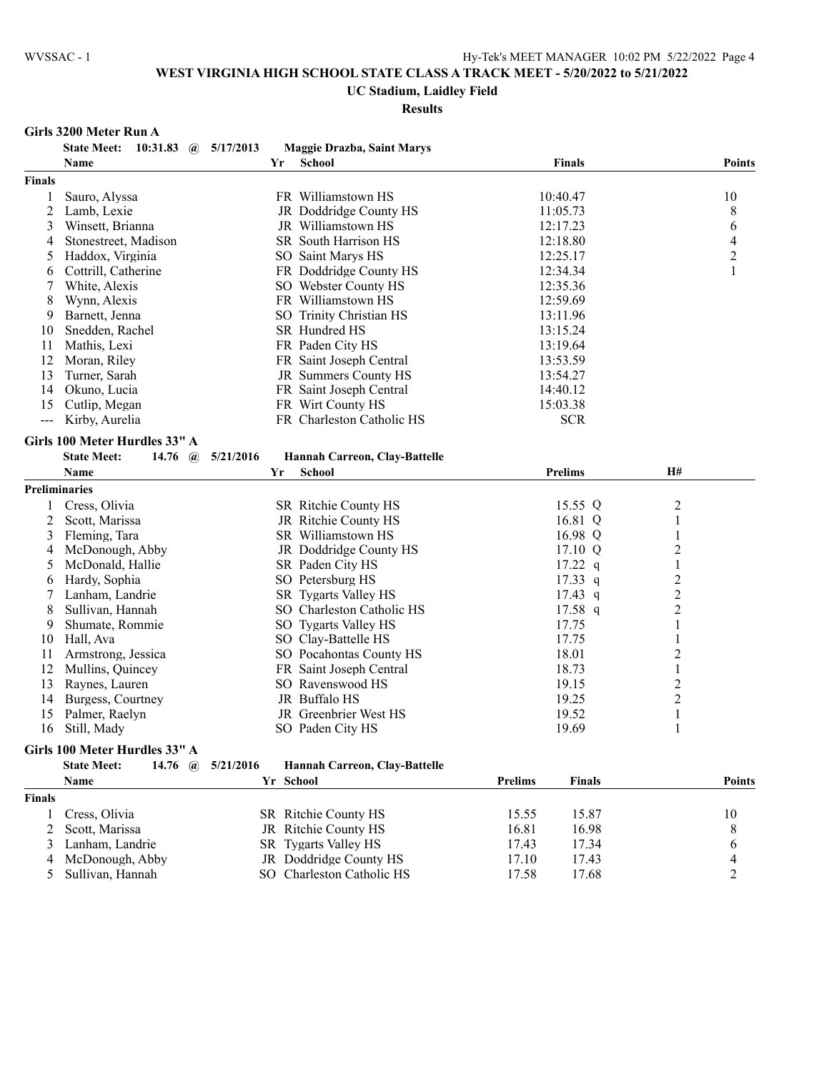# **UC Stadium, Laidley Field**

# **Results**

#### **Girls 3200 Meter Run A**

|                | 10:31.83 $\omega$ 5/17/2013<br><b>State Meet:</b> |           | <b>Maggie Drazba, Saint Marys</b>                 |                                 |                                           |
|----------------|---------------------------------------------------|-----------|---------------------------------------------------|---------------------------------|-------------------------------------------|
|                | Name                                              | Yr        | <b>School</b>                                     | <b>Finals</b>                   | <b>Points</b>                             |
| <b>Finals</b>  |                                                   |           |                                                   |                                 |                                           |
| 1              | Sauro, Alyssa                                     |           | FR Williamstown HS                                | 10:40.47                        | 10                                        |
| $\overline{c}$ | Lamb, Lexie                                       |           | JR Doddridge County HS                            | 11:05.73                        | 8                                         |
| 3              | Winsett, Brianna                                  |           | JR Williamstown HS                                | 12:17.23                        | 6                                         |
| 4              | Stonestreet, Madison                              |           | SR South Harrison HS                              | 12:18.80                        | $\overline{4}$                            |
| 5              | Haddox, Virginia                                  |           | SO Saint Marys HS                                 | 12:25.17                        | $\overline{c}$                            |
| 6              | Cottrill, Catherine                               |           | FR Doddridge County HS                            | 12:34.34                        | $\mathbf{1}$                              |
| 7              | White, Alexis                                     |           | SO Webster County HS                              | 12:35.36                        |                                           |
| 8              | Wynn, Alexis                                      |           | FR Williamstown HS                                | 12:59.69                        |                                           |
| 9              | Barnett, Jenna                                    |           | SO Trinity Christian HS                           | 13:11.96                        |                                           |
| 10             | Snedden, Rachel                                   |           | SR Hundred HS                                     | 13:15.24                        |                                           |
| 11             | Mathis, Lexi                                      |           | FR Paden City HS                                  | 13:19.64                        |                                           |
| 12             | Moran, Riley                                      |           | FR Saint Joseph Central                           | 13:53.59                        |                                           |
| 13             | Turner, Sarah                                     |           | JR Summers County HS                              | 13:54.27                        |                                           |
| 14             | Okuno, Lucia                                      |           | FR Saint Joseph Central                           | 14:40.12                        |                                           |
| 15             | Cutlip, Megan                                     |           | FR Wirt County HS                                 | 15:03.38                        |                                           |
| $\overline{a}$ | Kirby, Aurelia                                    |           | FR Charleston Catholic HS                         | <b>SCR</b>                      |                                           |
|                | Girls 100 Meter Hurdles 33" A                     |           |                                                   |                                 |                                           |
|                | <b>State Meet:</b><br>14.76 $\omega$              | 5/21/2016 | Hannah Carreon, Clay-Battelle                     |                                 |                                           |
|                | Name                                              | Yr        | <b>School</b>                                     | <b>Prelims</b>                  | H#                                        |
|                | <b>Preliminaries</b>                              |           |                                                   |                                 |                                           |
|                | Cress, Olivia                                     |           | SR Ritchie County HS                              | 15.55 Q                         | $\overline{2}$                            |
| 1<br>2         | Scott, Marissa                                    |           | JR Ritchie County HS                              | 16.81 Q                         | $\mathbf{1}$                              |
| 3              | Fleming, Tara                                     |           | SR Williamstown HS                                | 16.98 Q                         | 1                                         |
| 4              | McDonough, Abby                                   |           | JR Doddridge County HS                            | 17.10 Q                         | $\overline{c}$                            |
| 5              | McDonald, Hallie                                  |           | SR Paden City HS                                  | $17.22$ q                       | 1                                         |
| 6              | Hardy, Sophia                                     |           | SO Petersburg HS                                  | 17.33 q                         |                                           |
| 7              | Lanham, Landrie                                   |           |                                                   | $17.43$ q                       | $\overline{\mathbf{c}}$<br>$\overline{c}$ |
|                | Sullivan, Hannah                                  |           | SR Tygarts Valley HS<br>SO Charleston Catholic HS | $17.58$ q                       | $\overline{c}$                            |
| 8<br>9         | Shumate, Rommie                                   |           | SO Tygarts Valley HS                              | 17.75                           | $\mathbf{1}$                              |
| 10             |                                                   |           |                                                   | 17.75                           |                                           |
| 11             | Hall, Ava                                         |           | SO Clay-Battelle HS<br>SO Pocahontas County HS    | 18.01                           | 1                                         |
| 12             | Armstrong, Jessica                                |           |                                                   | 18.73                           | $\overline{c}$                            |
| 13             | Mullins, Quincey                                  |           | FR Saint Joseph Central                           | 19.15                           | $\mathbf{1}$                              |
| 14             | Raynes, Lauren<br>Burgess, Courtney               |           | SO Ravenswood HS<br>JR Buffalo HS                 | 19.25                           | $\overline{c}$                            |
|                |                                                   |           | JR Greenbrier West HS                             | 19.52                           | $\overline{c}$                            |
| 15             | Palmer, Raelyn                                    |           |                                                   |                                 | $\mathbf{1}$                              |
| 16             | Still, Mady                                       |           | SO Paden City HS                                  | 19.69                           | 1                                         |
|                | Girls 100 Meter Hurdles 33" A                     |           |                                                   |                                 |                                           |
|                | <b>State Meet:</b><br>14.76 $\omega$              | 5/21/2016 | Hannah Carreon, Clay-Battelle                     |                                 |                                           |
|                | <b>Name</b>                                       | Yr School |                                                   | <b>Prelims</b><br><b>Finals</b> | <b>Points</b>                             |

# **Finals**

| ıals |                    |                           |       |       |    |
|------|--------------------|---------------------------|-------|-------|----|
|      | Cress, Olivia      | SR Ritchie County HS      | 15.55 | 15.87 | 10 |
|      | 2 Scott, Marissa   | JR Ritchie County HS      | 16.81 | 16.98 |    |
|      | 3 Lanham, Landrie  | SR Tygarts Valley HS      | 17.43 | 17.34 |    |
|      | 4 McDonough, Abby  | JR Doddridge County HS    | 17.10 | 17.43 |    |
|      | 5 Sullivan, Hannah | SO Charleston Catholic HS | 17.58 | 17.68 |    |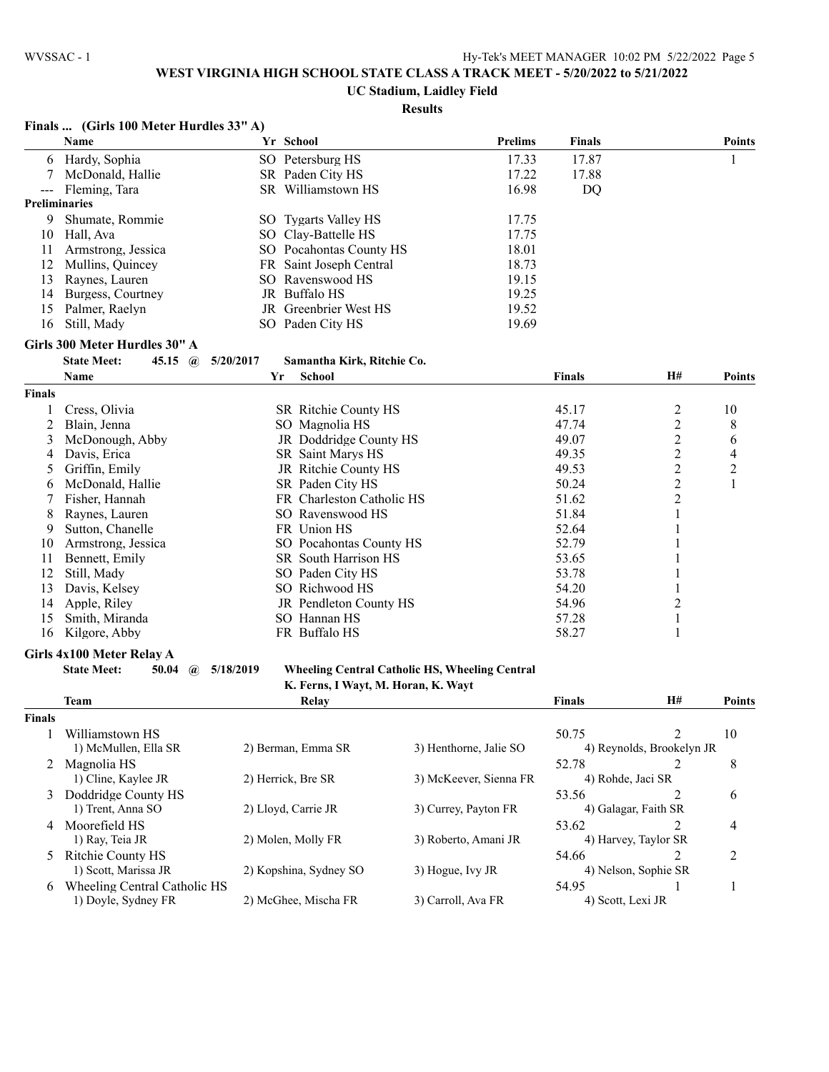## **UC Stadium, Laidley Field**

### **Results**

|                      | Finals  (Girls 100 Meter Hurdles 33" A)     |           |                                     |                                                       |               |                             |                |
|----------------------|---------------------------------------------|-----------|-------------------------------------|-------------------------------------------------------|---------------|-----------------------------|----------------|
|                      | Name                                        |           | Yr School                           | <b>Prelims</b>                                        | <b>Finals</b> |                             | <b>Points</b>  |
| 6                    | Hardy, Sophia                               |           | SO Petersburg HS                    | 17.33                                                 | 17.87         |                             | 1              |
| 7                    | McDonald, Hallie                            |           | SR Paden City HS                    | 17.22                                                 | 17.88         |                             |                |
|                      | Fleming, Tara                               |           | SR Williamstown HS                  | 16.98                                                 | DQ            |                             |                |
| <b>Preliminaries</b> |                                             |           |                                     |                                                       |               |                             |                |
| 9                    | Shumate, Rommie                             |           | SO Tygarts Valley HS                | 17.75                                                 |               |                             |                |
| 10                   | Hall, Ava                                   |           | SO Clay-Battelle HS                 | 17.75                                                 |               |                             |                |
| 11                   | Armstrong, Jessica                          |           | SO Pocahontas County HS             | 18.01                                                 |               |                             |                |
| 12                   | Mullins, Quincey                            |           | FR Saint Joseph Central             | 18.73                                                 |               |                             |                |
| 13                   | Raynes, Lauren                              |           | SO Ravenswood HS                    | 19.15                                                 |               |                             |                |
| 14                   | Burgess, Courtney                           |           | JR Buffalo HS                       | 19.25                                                 |               |                             |                |
| 15                   | Palmer, Raelyn                              |           | JR Greenbrier West HS               | 19.52                                                 |               |                             |                |
| 16                   | Still, Mady                                 |           | SO Paden City HS                    | 19.69                                                 |               |                             |                |
|                      | Girls 300 Meter Hurdles 30" A               |           |                                     |                                                       |               |                             |                |
|                      | <b>State Meet:</b><br>45.15 $\omega$        | 5/20/2017 | Samantha Kirk, Ritchie Co.          |                                                       |               |                             |                |
|                      | Name                                        | Yr        | School                              |                                                       | <b>Finals</b> | H#                          | <b>Points</b>  |
| <b>Finals</b>        |                                             |           |                                     |                                                       |               |                             |                |
|                      | Cress, Olivia                               |           | SR Ritchie County HS                |                                                       | 45.17         | $\overline{c}$              | 10             |
| 2                    | Blain, Jenna                                |           | SO Magnolia HS                      |                                                       | 47.74         | $\overline{c}$              | 8              |
| 3                    | McDonough, Abby                             |           | JR Doddridge County HS              |                                                       | 49.07         | $\overline{c}$              | 6              |
| 4                    | Davis, Erica                                |           | <b>SR</b> Saint Marys HS            |                                                       | 49.35         | $\overline{c}$              | 4              |
| 5                    | Griffin, Emily                              |           | JR Ritchie County HS                |                                                       | 49.53         | $\overline{c}$              | $\overline{c}$ |
| 6                    | McDonald, Hallie                            |           | SR Paden City HS                    |                                                       | 50.24         | $\overline{c}$              | $\mathbf{1}$   |
| 7                    | Fisher, Hannah                              |           | FR Charleston Catholic HS           |                                                       | 51.62         | $\overline{c}$              |                |
| 8                    | Raynes, Lauren                              |           | SO Ravenswood HS                    |                                                       | 51.84         | $\mathbf{1}$                |                |
| 9                    | Sutton, Chanelle                            |           | FR Union HS                         |                                                       | 52.64         | 1                           |                |
| 10                   | Armstrong, Jessica                          |           | SO Pocahontas County HS             |                                                       | 52.79         |                             |                |
| 11                   | Bennett, Emily                              |           | SR South Harrison HS                |                                                       | 53.65         | 1                           |                |
| 12                   | Still, Mady                                 |           | SO Paden City HS                    |                                                       | 53.78         | 1                           |                |
| 13                   | Davis, Kelsey                               |           | SO Richwood HS                      |                                                       | 54.20         | 1                           |                |
| 14                   | Apple, Riley                                |           | JR Pendleton County HS              |                                                       | 54.96         | $\overline{c}$              |                |
| 15                   | Smith, Miranda                              |           | SO Hannan HS                        |                                                       | 57.28         | 1                           |                |
| 16                   | Kilgore, Abby                               |           | FR Buffalo HS                       |                                                       | 58.27         | 1                           |                |
|                      |                                             |           |                                     |                                                       |               |                             |                |
|                      | Girls 4x100 Meter Relay A                   |           |                                     |                                                       |               |                             |                |
|                      | <b>State Meet:</b><br>50.04<br>$\mathbf{a}$ | 5/18/2019 | K. Ferns, I Wayt, M. Horan, K. Wayt | <b>Wheeling Central Catholic HS, Wheeling Central</b> |               |                             |                |
|                      | <b>Team</b>                                 |           | Relay                               |                                                       | Finals        | H#                          | <b>Points</b>  |
| <b>Finals</b>        |                                             |           |                                     |                                                       |               |                             |                |
|                      | Williamstown HS                             |           |                                     |                                                       | 50.75         | $\overline{2}$              | 10             |
|                      | 1) McMullen, Ella SR                        |           | 2) Berman, Emma SR                  | 3) Henthorne, Jalie SO                                |               | 4) Reynolds, Brookelyn JR   |                |
|                      | 2 Magnolia HS                               |           |                                     |                                                       | 52.78         | $\mathcal{D}_{\mathcal{L}}$ | 8              |
|                      | 1) Cline, Kaylee JR                         |           | 2) Herrick, Bre SR                  | 3) McKeever, Sienna FR                                |               | 4) Rohde, Jaci SR           |                |
|                      | 3 Doddridge County HS                       |           |                                     |                                                       | 53.56         | 2                           | 6              |
|                      | 1) Trent, Anna SO                           |           | 2) Lloyd, Carrie JR                 | 3) Currey, Payton FR                                  |               | 4) Galagar, Faith SR        |                |
|                      | 4 Moorefield HS                             |           |                                     |                                                       |               |                             |                |
|                      | 1) Ray, Teia JR                             |           | 2) Molen, Molly FR                  | 3) Roberto, Amani JR                                  | 53.62         | 2<br>4) Harvey, Taylor SR   | 4              |
|                      |                                             |           |                                     |                                                       |               |                             |                |
| 5                    | Ritchie County HS<br>1) Scott, Marissa JR   |           | 2) Kopshina, Sydney SO              | 3) Hogue, Ivy JR                                      | 54.66         | 2<br>4) Nelson, Sophie SR   | 2              |
|                      |                                             |           |                                     |                                                       |               |                             |                |
| 6                    | Wheeling Central Catholic HS                |           |                                     |                                                       | 54.95         | 1                           | 1              |
|                      | 1) Doyle, Sydney FR                         |           | 2) McGhee, Mischa FR                | 3) Carroll, Ava FR                                    |               | 4) Scott, Lexi JR           |                |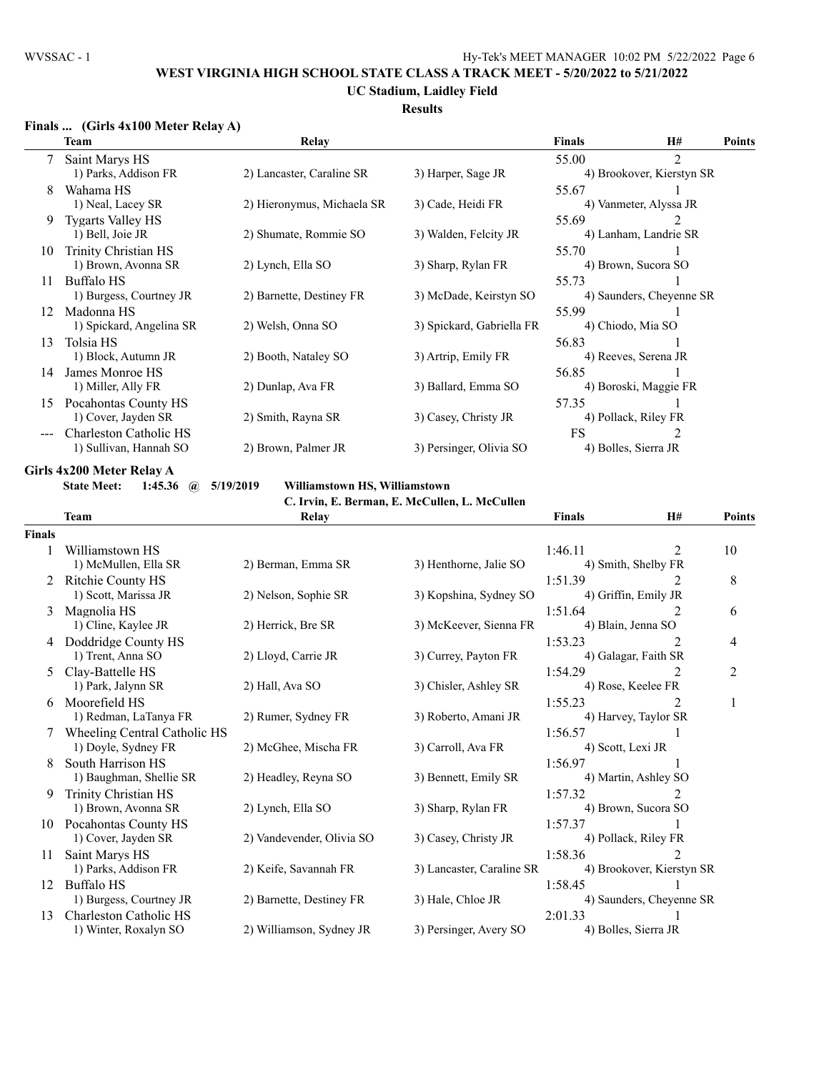## **UC Stadium, Laidley Field**

## **Results**

## **Finals ... (Girls 4x100 Meter Relay A)**

|    | Team                          | Relay                      |                           | <b>Finals</b> | H#                        | <b>Points</b> |
|----|-------------------------------|----------------------------|---------------------------|---------------|---------------------------|---------------|
|    | Saint Marys HS                |                            |                           | 55.00         | $\overline{2}$            |               |
|    | 1) Parks, Addison FR          | 2) Lancaster, Caraline SR  | 3) Harper, Sage JR        |               | 4) Brookover, Kierstyn SR |               |
| 8  | Wahama HS                     |                            |                           | 55.67         |                           |               |
|    | 1) Neal, Lacey SR             | 2) Hieronymus, Michaela SR | 3) Cade, Heidi FR         |               | 4) Vanmeter, Alyssa JR    |               |
| 9  | <b>Tygarts Valley HS</b>      |                            |                           | 55.69         |                           |               |
|    | 1) Bell, Joie JR              | 2) Shumate, Rommie SO      | 3) Walden, Felcity JR     |               | 4) Lanham, Landrie SR     |               |
| 10 | Trinity Christian HS          |                            |                           | 55.70         |                           |               |
|    | 1) Brown, Avonna SR           | 2) Lynch, Ella SO          | 3) Sharp, Rylan FR        |               | 4) Brown, Sucora SO       |               |
| 11 | Buffalo HS                    |                            |                           | 55.73         |                           |               |
|    | 1) Burgess, Courtney JR       | 2) Barnette, Destiney FR   | 3) McDade, Keirstyn SO    |               | 4) Saunders, Cheyenne SR  |               |
| 12 | Madonna HS                    |                            |                           | 55.99         |                           |               |
|    | 1) Spickard, Angelina SR      | 2) Welsh, Onna SO          | 3) Spickard, Gabriella FR |               | 4) Chiodo, Mia SO         |               |
| 13 | Tolsia HS                     |                            |                           | 56.83         |                           |               |
|    | 1) Block, Autumn JR           | 2) Booth, Nataley SO       | 3) Artrip, Emily FR       |               | 4) Reeves, Serena JR      |               |
| 14 | James Monroe HS               |                            |                           | 56.85         |                           |               |
|    | 1) Miller, Ally FR            | 2) Dunlap, Ava FR          | 3) Ballard, Emma SO       |               | 4) Boroski, Maggie FR     |               |
| 15 | Pocahontas County HS          |                            |                           | 57.35         |                           |               |
|    | 1) Cover, Jayden SR           | 2) Smith, Rayna SR         | 3) Casey, Christy JR      |               | 4) Pollack, Riley FR      |               |
|    | <b>Charleston Catholic HS</b> |                            |                           | FS            |                           |               |
|    | 1) Sullivan, Hannah SO        | 2) Brown, Palmer JR        | 3) Persinger, Olivia SO   |               | 4) Bolles, Sierra JR      |               |

**Girls 4x200 Meter Relay A**

**State Meet: 1:45.36 @ 5/19/2019 Williamstown HS, Williamstown**

**C. Irvin, E. Berman, E. McCullen, L. McCullen**

|               | <b>Team</b>                  | Relay                     |                           | <b>Finals</b>      | H#                        | Points |
|---------------|------------------------------|---------------------------|---------------------------|--------------------|---------------------------|--------|
| <b>Finals</b> |                              |                           |                           |                    |                           |        |
|               | Williamstown HS              |                           |                           | 1:46.11            | 2                         | 10     |
|               | 1) McMullen, Ella SR         | 2) Berman, Emma SR        | 3) Henthorne, Jalie SO    |                    | 4) Smith, Shelby FR       |        |
|               | <b>Ritchie County HS</b>     |                           |                           | 1:51.39            | 2                         | 8      |
|               | 1) Scott, Marissa JR         | 2) Nelson, Sophie SR      | 3) Kopshina, Sydney SO    |                    | 4) Griffin, Emily JR      |        |
| 3             | Magnolia HS                  |                           |                           | 1:51.64            | 2                         | 6      |
|               | 1) Cline, Kaylee JR          | 2) Herrick, Bre SR        | 3) McKeever, Sienna FR    | 4) Blain, Jenna SO |                           |        |
| 4             | Doddridge County HS          |                           |                           | 1:53.23            | $\overline{2}$            | 4      |
|               | 1) Trent, Anna SO            | 2) Lloyd, Carrie JR       | 3) Currey, Payton FR      |                    | 4) Galagar, Faith SR      |        |
| 5.            | Clay-Battelle HS             |                           |                           | 1:54.29            | $\overline{2}$            | 2      |
|               | 1) Park, Jalynn SR           | 2) Hall, Ava SO           | 3) Chisler, Ashley SR     |                    | 4) Rose, Keelee FR        |        |
|               | 6 Moorefield HS              |                           |                           | 1:55.23            | 2                         | 1      |
|               | 1) Redman, LaTanya FR        | 2) Rumer, Sydney FR       | 3) Roberto, Amani JR      |                    | 4) Harvey, Taylor SR      |        |
|               | Wheeling Central Catholic HS |                           |                           | 1:56.57            |                           |        |
|               | 1) Doyle, Sydney FR          | 2) McGhee, Mischa FR      | 3) Carroll, Ava FR        | 4) Scott, Lexi JR  |                           |        |
| 8             | South Harrison HS            |                           |                           | 1:56.97            |                           |        |
|               | 1) Baughman, Shellie SR      | 2) Headley, Reyna SO      | 3) Bennett, Emily SR      |                    | 4) Martin, Ashley SO      |        |
| 9.            | Trinity Christian HS         |                           |                           | 1:57.32            | 2                         |        |
|               | 1) Brown, Avonna SR          | 2) Lynch, Ella SO         | 3) Sharp, Rylan FR        |                    | 4) Brown, Sucora SO       |        |
| 10            | Pocahontas County HS         |                           |                           | 1:57.37            |                           |        |
|               | 1) Cover, Jayden SR          | 2) Vandevender, Olivia SO | 3) Casey, Christy JR      |                    | 4) Pollack, Riley FR      |        |
| 11            | Saint Marys HS               |                           |                           | 1:58.36            | $\mathfrak{D}$            |        |
|               | 1) Parks, Addison FR         | 2) Keife, Savannah FR     | 3) Lancaster, Caraline SR |                    | 4) Brookover, Kierstyn SR |        |
| 12            | <b>Buffalo HS</b>            |                           |                           | 1:58.45            |                           |        |
|               | 1) Burgess, Courtney JR      | 2) Barnette, Destiney FR  | 3) Hale, Chloe JR         |                    | 4) Saunders, Cheyenne SR  |        |
| 13            | Charleston Catholic HS       |                           |                           | 2:01.33            |                           |        |
|               | 1) Winter, Roxalyn SO        | 2) Williamson, Sydney JR  | 3) Persinger, Avery SO    |                    | 4) Bolles, Sierra JR      |        |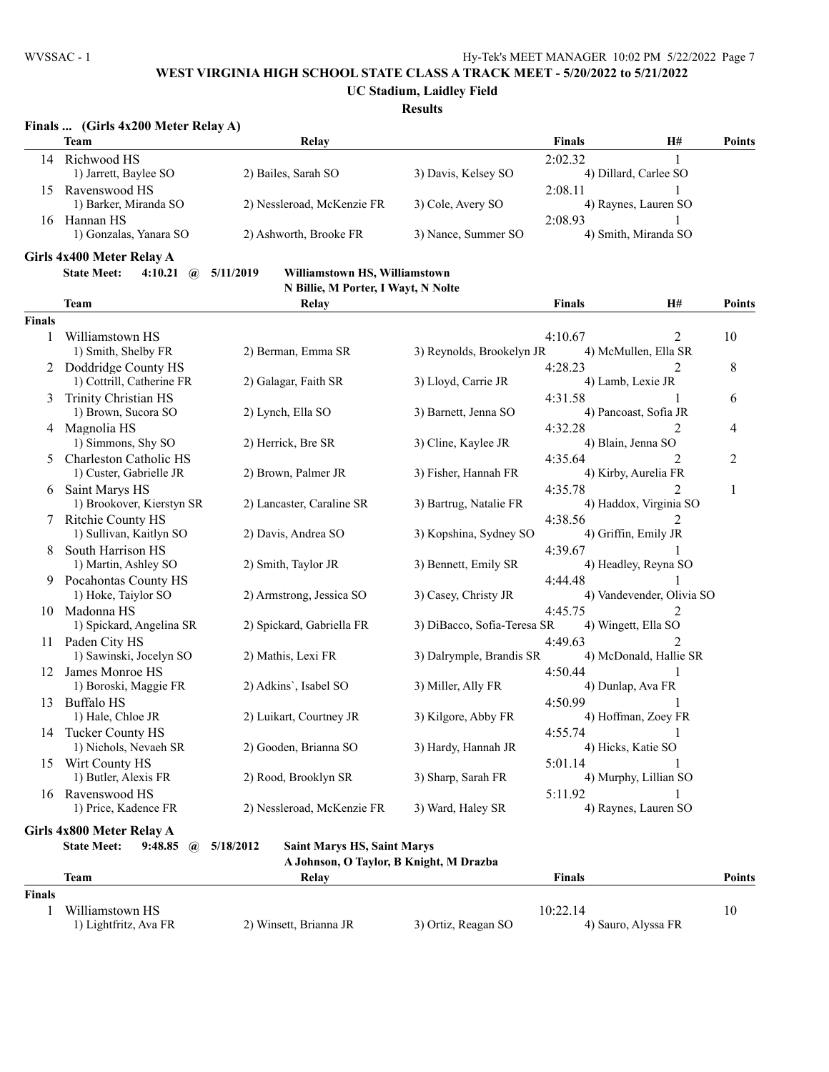**UC Stadium, Laidley Field**

#### **Results**

## **Finals ... (Girls 4x200 Meter Relay A)**

|     | <b>Team</b>            | Relav                      |                     | <b>Finals</b> | H#                    | <b>Points</b> |
|-----|------------------------|----------------------------|---------------------|---------------|-----------------------|---------------|
| 14  | Richwood HS            |                            |                     | 2:02.32       |                       |               |
|     | 1) Jarrett, Baylee SO  | 2) Bailes, Sarah SO        | 3) Davis, Kelsey SO |               | 4) Dillard, Carlee SO |               |
| 15. | Ravenswood HS          |                            |                     | 2:08.11       |                       |               |
|     | 1) Barker, Miranda SO  | 2) Nessleroad, McKenzie FR | 3) Cole, Avery SO   |               | 4) Raynes, Lauren SO  |               |
| 16  | Hannan HS              |                            |                     | 2:08.93       |                       |               |
|     | 1) Gonzalas, Yanara SO | 2) Ashworth, Brooke FR     | 3) Nance, Summer SO |               | 4) Smith, Miranda SO  |               |
|     |                        |                            |                     |               |                       |               |

**Girls 4x400 Meter Relay A**

#### **State Meet: 4:10.21 @ 5/11/2019 Williamstown HS, Williamstown N Billie, M Porter, I Wayt, N Nolte**

|               | <b>Team</b>                                   | Relay                      |                                    |                                         | <b>Finals</b> | H#                          | <b>Points</b>  |
|---------------|-----------------------------------------------|----------------------------|------------------------------------|-----------------------------------------|---------------|-----------------------------|----------------|
| <b>Finals</b> |                                               |                            |                                    |                                         |               |                             |                |
| 1             | Williamstown HS                               |                            |                                    |                                         | 4:10.67       | 2                           | 10             |
|               | 1) Smith, Shelby FR                           | 2) Berman, Emma SR         |                                    | 3) Reynolds, Brookelyn JR               |               | 4) McMullen, Ella SR        |                |
|               | Doddridge County HS                           |                            |                                    |                                         | 4:28.23       | 2                           | $8\,$          |
|               | 1) Cottrill, Catherine FR                     | 2) Galagar, Faith SR       |                                    | 3) Lloyd, Carrie JR                     |               | 4) Lamb, Lexie JR           |                |
| 3             | Trinity Christian HS                          |                            |                                    |                                         | 4:31.58       |                             | 6              |
|               | 1) Brown, Sucora SO                           | 2) Lynch, Ella SO          |                                    | 3) Barnett, Jenna SO                    |               | 4) Pancoast, Sofia JR       |                |
| 4             | Magnolia HS                                   |                            |                                    |                                         | 4:32.28       | $\overline{2}$              | 4              |
|               | 1) Simmons, Shy SO                            | 2) Herrick, Bre SR         |                                    | 3) Cline, Kaylee JR                     |               | 4) Blain, Jenna SO          |                |
| 5             | Charleston Catholic HS                        |                            |                                    |                                         | 4:35.64       | 2                           | $\overline{2}$ |
|               | 1) Custer, Gabrielle JR                       | 2) Brown, Palmer JR        |                                    | 3) Fisher, Hannah FR                    |               | 4) Kirby, Aurelia FR        |                |
| 6             | Saint Marys HS                                |                            |                                    |                                         | 4:35.78       | $\mathcal{D}_{\mathcal{L}}$ | 1              |
|               | 1) Brookover, Kierstyn SR                     | 2) Lancaster, Caraline SR  |                                    | 3) Bartrug, Natalie FR                  |               | 4) Haddox, Virginia SO      |                |
|               | 7 Ritchie County HS                           |                            |                                    |                                         | 4:38.56       |                             |                |
|               | 1) Sullivan, Kaitlyn SO                       | 2) Davis, Andrea SO        |                                    | 3) Kopshina, Sydney SO                  |               | 4) Griffin, Emily JR        |                |
| 8             | South Harrison HS                             |                            |                                    |                                         | 4:39.67       |                             |                |
|               | 1) Martin, Ashley SO                          | 2) Smith, Taylor JR        |                                    | 3) Bennett, Emily SR                    |               | 4) Headley, Reyna SO        |                |
|               | 9 Pocahontas County HS                        |                            |                                    |                                         | 4:44.48       |                             |                |
|               | 1) Hoke, Taiylor SO                           | 2) Armstrong, Jessica SO   |                                    | 3) Casey, Christy JR                    |               | 4) Vandevender, Olivia SO   |                |
| 10            | Madonna HS                                    |                            |                                    |                                         | 4:45.75       |                             |                |
|               | 1) Spickard, Angelina SR                      | 2) Spickard, Gabriella FR  |                                    | 3) DiBacco, Sofia-Teresa SR             |               | 4) Wingett, Ella SO         |                |
| 11            | Paden City HS                                 |                            |                                    |                                         | 4:49.63       |                             |                |
|               | 1) Sawinski, Jocelyn SO                       | 2) Mathis, Lexi FR         |                                    | 3) Dalrymple, Brandis SR                |               | 4) McDonald, Hallie SR      |                |
| 12            | James Monroe HS                               |                            |                                    |                                         | 4:50.44       | $\mathbf{1}$                |                |
|               | 1) Boroski, Maggie FR                         | 2) Adkins', Isabel SO      |                                    | 3) Miller, Ally FR                      |               | 4) Dunlap, Ava FR           |                |
| 13            | <b>Buffalo HS</b>                             |                            |                                    |                                         | 4:50.99       |                             |                |
|               | 1) Hale, Chloe JR                             | 2) Luikart, Courtney JR    |                                    | 3) Kilgore, Abby FR                     |               | 4) Hoffman, Zoey FR         |                |
| 14            | Tucker County HS                              |                            |                                    |                                         | 4:55.74       | 1                           |                |
|               | 1) Nichols, Nevaeh SR                         | 2) Gooden, Brianna SO      |                                    | 3) Hardy, Hannah JR                     |               | 4) Hicks, Katie SO          |                |
| 15            | Wirt County HS                                |                            |                                    |                                         | 5:01.14       |                             |                |
|               | 1) Butler, Alexis FR                          | 2) Rood, Brooklyn SR       |                                    | 3) Sharp, Sarah FR                      |               | 4) Murphy, Lillian SO       |                |
|               | 16 Ravenswood HS                              |                            |                                    |                                         | 5:11.92       |                             |                |
|               | 1) Price, Kadence FR                          | 2) Nessleroad, McKenzie FR |                                    | 3) Ward, Haley SR                       |               | 4) Raynes, Lauren SO        |                |
|               | Girls 4x800 Meter Relay A                     |                            |                                    |                                         |               |                             |                |
|               | <b>State Meet:</b><br>9:48.85<br>$\mathbf{a}$ | 5/18/2012                  | <b>Saint Marys HS, Saint Marys</b> |                                         |               |                             |                |
|               |                                               |                            |                                    | A Johnson, O Taylor, B Knight, M Drazba |               |                             |                |

|        | Team                  | Relav                  |                     | Finals              | Points |
|--------|-----------------------|------------------------|---------------------|---------------------|--------|
| Finals |                       |                        |                     |                     |        |
|        | Williamstown HS       |                        |                     | 10:22.14            | 10     |
|        | 1) Lightfritz, Ava FR | 2) Winsett, Brianna JR | 3) Ortiz, Reagan SO | 4) Sauro, Alyssa FR |        |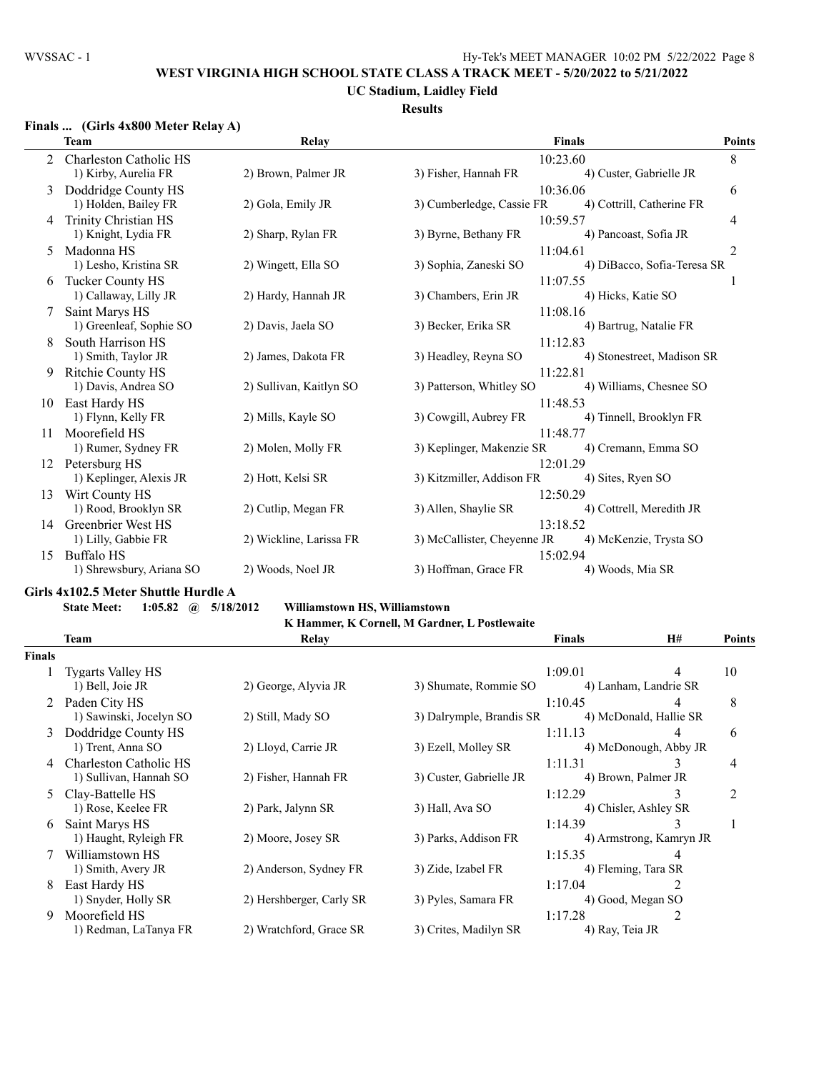#### **UC Stadium, Laidley Field Results**

#### **Finals ... (Girls 4x800 Meter Relay A)**

|    | Team                     | Relay                   | <b>Finals</b>                    |                             |   |
|----|--------------------------|-------------------------|----------------------------------|-----------------------------|---|
|    | Charleston Catholic HS   |                         | 10:23.60                         |                             | 8 |
|    | 1) Kirby, Aurelia FR     | 2) Brown, Palmer JR     | 3) Fisher, Hannah FR             | 4) Custer, Gabrielle JR     |   |
| 3  | Doddridge County HS      |                         | 10:36.06                         |                             | 6 |
|    | 1) Holden, Bailey FR     | 2) Gola, Emily JR       | 3) Cumberledge, Cassie FR        | 4) Cottrill, Catherine FR   |   |
| 4  | Trinity Christian HS     |                         | 10:59.57                         |                             | 4 |
|    | 1) Knight, Lydia FR      | 2) Sharp, Rylan FR      | 3) Byrne, Bethany FR             | 4) Pancoast, Sofia JR       |   |
| 5  | Madonna HS               |                         | 11:04.61                         |                             | 2 |
|    | 1) Lesho, Kristina SR    | 2) Wingett, Ella SO     | 3) Sophia, Zaneski SO            | 4) DiBacco, Sofia-Teresa SR |   |
| 6  | Tucker County HS         |                         | 11:07.55                         |                             |   |
|    | 1) Callaway, Lilly JR    | 2) Hardy, Hannah JR     | 3) Chambers, Erin JR             | 4) Hicks, Katie SO          |   |
|    | Saint Marys HS           |                         | 11:08.16                         |                             |   |
|    | 1) Greenleaf, Sophie SO  | 2) Davis, Jaela SO      | 3) Becker, Erika SR              | 4) Bartrug, Natalie FR      |   |
|    | South Harrison HS        |                         | 11:12.83                         |                             |   |
|    | 1) Smith, Taylor JR      | 2) James, Dakota FR     | 3) Headley, Reyna SO             | 4) Stonestreet, Madison SR  |   |
| 9  | <b>Ritchie County HS</b> |                         | 11:22.81                         |                             |   |
|    | 1) Davis, Andrea SO      | 2) Sullivan, Kaitlyn SO | 3) Patterson, Whitley SO         | 4) Williams, Chesnee SO     |   |
| 10 | East Hardy HS            |                         | 11:48.53                         |                             |   |
|    | 1) Flynn, Kelly FR       | 2) Mills, Kayle SO      | 3) Cowgill, Aubrey FR            | 4) Tinnell, Brooklyn FR     |   |
| 11 | Moorefield HS            |                         | 11:48.77                         |                             |   |
|    | 1) Rumer, Sydney FR      | 2) Molen, Molly FR      | 3) Keplinger, Makenzie SR        | 4) Cremann, Emma SO         |   |
| 12 | Petersburg HS            |                         | 12:01.29                         |                             |   |
|    | 1) Keplinger, Alexis JR  | 2) Hott, Kelsi SR       | 3) Kitzmiller, Addison FR        | 4) Sites, Ryen SO           |   |
| 13 | Wirt County HS           |                         | 12:50.29                         |                             |   |
|    | 1) Rood, Brooklyn SR     | 2) Cutlip, Megan FR     | 3) Allen, Shaylie SR             | 4) Cottrell, Meredith JR    |   |
| 14 | Greenbrier West HS       |                         | 13:18.52                         |                             |   |
|    | 1) Lilly, Gabbie FR      | 2) Wickline, Larissa FR | 3) McCallister, Cheyenne JR      | 4) McKenzie, Trysta SO      |   |
| 15 | <b>Buffalo HS</b>        | 2) Woods, Noel JR       | 15:02.94<br>3) Hoffman, Grace FR | 4) Woods, Mia SR            |   |
|    | 1) Shrewsbury, Ariana SO |                         |                                  |                             |   |

#### **Girls 4x102.5 Meter Shuttle Hurdle A**

## **State Meet: 1:05.82 @ 5/18/2012 Williamstown HS, Williamstown**

**K Hammer, K Cornell, M Gardner, L Postlewaite**

|               | Team                     | Relay                    |                          | <b>Finals</b>   | H#                      | <b>Points</b>  |
|---------------|--------------------------|--------------------------|--------------------------|-----------------|-------------------------|----------------|
| <b>Finals</b> |                          |                          |                          |                 |                         |                |
|               | <b>Tygarts Valley HS</b> |                          |                          | 1:09.01         | 4                       | 10             |
|               | 1) Bell, Joie JR         | 2) George, Alyvia JR     | 3) Shumate, Rommie SO    |                 | 4) Lanham, Landrie SR   |                |
| 2             | Paden City HS            |                          |                          | 1:10.45         | 4                       | 8              |
|               | 1) Sawinski, Jocelyn SO  | 2) Still, Mady SO        | 3) Dalrymple, Brandis SR |                 | 4) McDonald, Hallie SR  |                |
| 3.            | Doddridge County HS      |                          |                          | 1:11.13         | 4                       | 6              |
|               | 1) Trent, Anna SO        | 2) Lloyd, Carrie JR      | 3) Ezell, Molley SR      |                 | 4) McDonough, Abby JR   |                |
|               | Charleston Catholic HS   |                          |                          | 1:11.31         | 3                       | 4              |
|               | 1) Sullivan, Hannah SO   | 2) Fisher, Hannah FR     | 3) Custer, Gabrielle JR  |                 | 4) Brown, Palmer JR     |                |
|               | Clay-Battelle HS         |                          |                          | 1:12.29         | 3                       | $\overline{2}$ |
|               | 1) Rose, Keelee FR       | 2) Park, Jalynn SR       | 3) Hall, Ava SO          |                 | 4) Chisler, Ashley SR   |                |
| 6.            | Saint Marys HS           |                          |                          | 1:14.39         | 3                       |                |
|               | 1) Haught, Ryleigh FR    | 2) Moore, Josey SR       | 3) Parks, Addison FR     |                 | 4) Armstrong, Kamryn JR |                |
|               | Williamstown HS          |                          |                          | 1:15.35         | 4                       |                |
|               | 1) Smith, Avery JR       | 2) Anderson, Sydney FR   | 3) Zide, Izabel FR       |                 | 4) Fleming, Tara SR     |                |
| 8.            | East Hardy HS            |                          |                          | 1:17.04         |                         |                |
|               | 1) Snyder, Holly SR      | 2) Hershberger, Carly SR | 3) Pyles, Samara FR      |                 | 4) Good, Megan SO       |                |
| 9             | Moorefield HS            |                          |                          | 1:17.28         |                         |                |
|               | 1) Redman, LaTanya FR    | 2) Wratchford, Grace SR  | 3) Crites, Madilyn SR    | 4) Ray, Teia JR |                         |                |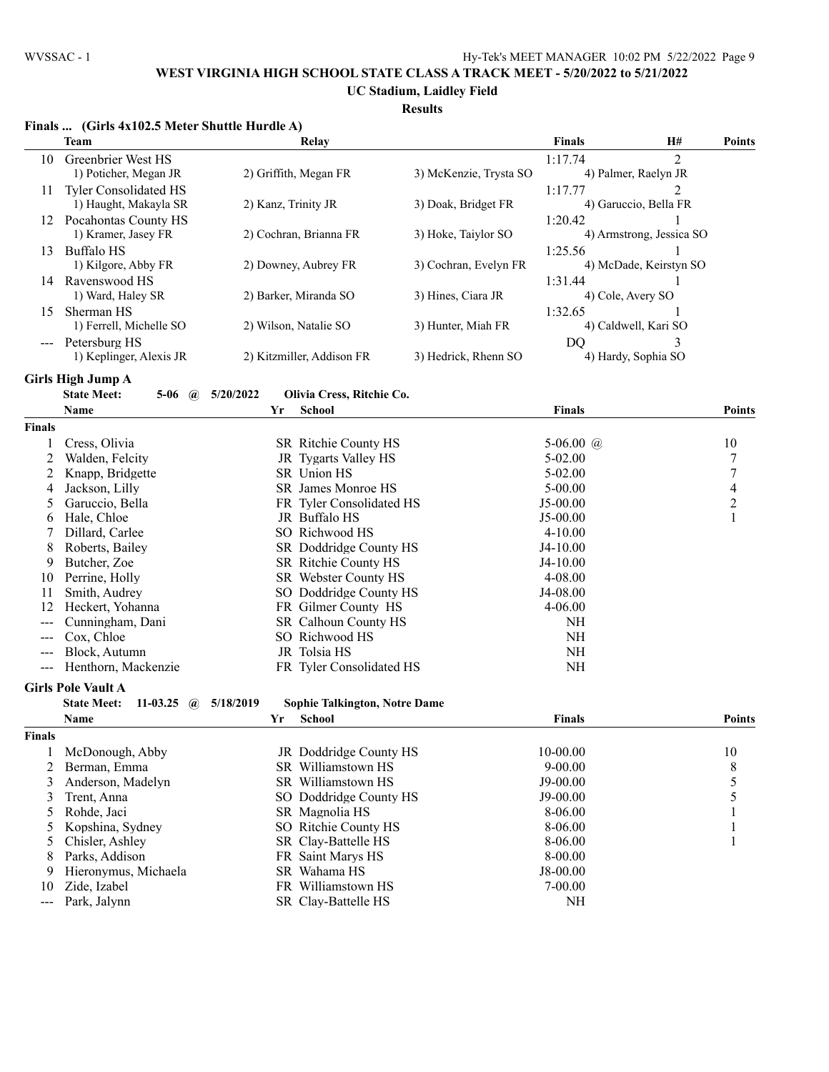**UC Stadium, Laidley Field**

# **Results**

|               | Finals  (Girls 4x102.5 Meter Shuttle Hurdle A) |                                                   |                        |               |                          |                          |
|---------------|------------------------------------------------|---------------------------------------------------|------------------------|---------------|--------------------------|--------------------------|
|               | <b>Team</b>                                    | Relay                                             |                        | <b>Finals</b> | H#                       | <b>Points</b>            |
| 10            | Greenbrier West HS                             |                                                   |                        | 1:17.74       | $\overline{2}$           |                          |
|               | 1) Poticher, Megan JR                          | 2) Griffith, Megan FR                             | 3) McKenzie, Trysta SO |               | 4) Palmer, Raelyn JR     |                          |
| 11            | Tyler Consolidated HS                          |                                                   |                        | 1:17.77       | 2                        |                          |
|               | 1) Haught, Makayla SR                          | 2) Kanz, Trinity JR                               | 3) Doak, Bridget FR    |               | 4) Garuccio, Bella FR    |                          |
|               | 12 Pocahontas County HS                        |                                                   |                        | 1:20.42       | 1                        |                          |
|               | 1) Kramer, Jasey FR                            | 2) Cochran, Brianna FR                            | 3) Hoke, Taiylor SO    |               | 4) Armstrong, Jessica SO |                          |
|               | 13 Buffalo HS                                  |                                                   |                        | 1:25.56       | 1                        |                          |
|               | 1) Kilgore, Abby FR                            | 2) Downey, Aubrey FR                              | 3) Cochran, Evelyn FR  |               | 4) McDade, Keirstyn SO   |                          |
|               | 14 Ravenswood HS                               |                                                   |                        | 1:31.44       |                          |                          |
|               | 1) Ward, Haley SR                              | 2) Barker, Miranda SO                             | 3) Hines, Ciara JR     |               | 4) Cole, Avery SO        |                          |
| 15            | Sherman HS                                     |                                                   |                        | 1:32.65       |                          |                          |
|               | 1) Ferrell, Michelle SO                        | 2) Wilson, Natalie SO                             | 3) Hunter, Miah FR     |               | 4) Caldwell, Kari SO     |                          |
|               | --- Petersburg HS                              |                                                   |                        | DO            | 3                        |                          |
|               | 1) Keplinger, Alexis JR                        | 2) Kitzmiller, Addison FR                         | 3) Hedrick, Rhenn SO   |               | 4) Hardy, Sophia SO      |                          |
|               | <b>Girls High Jump A</b>                       |                                                   |                        |               |                          |                          |
|               | <b>State Meet:</b><br>$5-06$<br>$\mathbf{a}$   | 5/20/2022<br>Olivia Cress, Ritchie Co.            |                        |               |                          |                          |
|               | Name                                           | Yr<br><b>School</b>                               |                        | <b>Finals</b> |                          | <b>Points</b>            |
| <b>Finals</b> |                                                |                                                   |                        |               |                          |                          |
| 1             | Cress, Olivia                                  | SR Ritchie County HS                              |                        | 5-06.00 $@$   |                          | 10                       |
| 2             | Walden, Felcity                                | JR Tygarts Valley HS                              |                        | $5 - 02.00$   |                          | $\boldsymbol{7}$         |
| 2             | Knapp, Bridgette                               | SR Union HS                                       |                        | $5 - 02.00$   |                          | $\boldsymbol{7}$         |
| 4             | Jackson, Lilly                                 | SR James Monroe HS                                |                        | $5 - 00.00$   |                          | $\overline{\mathcal{L}}$ |
| 5             | Garuccio, Bella                                | FR Tyler Consolidated HS                          |                        | $J5-00.00$    |                          | $\overline{c}$           |
| 6             | Hale, Chloe                                    | JR Buffalo HS                                     |                        | $J5-00.00$    |                          | $\mathbf{1}$             |
| 7             | Dillard, Carlee                                | SO Richwood HS                                    |                        | $4 - 10.00$   |                          |                          |
| 8             | Roberts, Bailey                                | SR Doddridge County HS                            |                        | $J4-10.00$    |                          |                          |
| 9             | Butcher, Zoe                                   | SR Ritchie County HS                              |                        | $J4-10.00$    |                          |                          |
| 10            | Perrine, Holly                                 | SR Webster County HS                              |                        | 4-08.00       |                          |                          |
| 11            | Smith, Audrey                                  | SO Doddridge County HS                            |                        | J4-08.00      |                          |                          |
| 12            | Heckert, Yohanna                               | FR Gilmer County HS                               |                        | $4 - 06.00$   |                          |                          |
| ---           | Cunningham, Dani                               | SR Calhoun County HS                              |                        | NH            |                          |                          |
|               | Cox, Chloe                                     | SO Richwood HS                                    |                        | NH            |                          |                          |
|               | Block, Autumn                                  | JR Tolsia HS                                      |                        | NH            |                          |                          |
| ---           | Henthorn, Mackenzie                            | FR Tyler Consolidated HS                          |                        | NH            |                          |                          |
|               | <b>Girls Pole Vault A</b>                      |                                                   |                        |               |                          |                          |
|               | <b>State Meet:</b><br>11-03.25 $\omega$        | 5/18/2019<br><b>Sophie Talkington, Notre Dame</b> |                        |               |                          |                          |
|               | Name                                           | Yr School                                         |                        | <b>Finals</b> |                          | <b>Points</b>            |
| <b>Finals</b> |                                                |                                                   |                        |               |                          |                          |
| 1             | McDonough, Abby                                | JR Doddridge County HS                            |                        | 10-00.00      |                          | 10                       |
| 2             | Berman, Emma                                   | SR Williamstown HS                                |                        | $9 - 00.00$   |                          | 8                        |
| 3             | Anderson, Madelyn                              | SR Williamstown HS                                |                        | J9-00.00      |                          | 5                        |
| 3             | Trent, Anna                                    | SO Doddridge County HS                            |                        | J9-00.00      |                          | 5                        |
| 5             | Rohde, Jaci                                    | SR Magnolia HS                                    |                        | 8-06.00       |                          | 1                        |
| 5             | Kopshina, Sydney                               | SO Ritchie County HS                              |                        | 8-06.00       |                          | 1                        |
| 5             | Chisler, Ashley                                | SR Clay-Battelle HS                               |                        | 8-06.00       |                          | 1                        |
| 8             | Parks, Addison                                 | FR Saint Marys HS                                 |                        | 8-00.00       |                          |                          |
| 9             | Hieronymus, Michaela                           | SR Wahama HS                                      |                        | J8-00.00      |                          |                          |
| 10            | Zide, Izabel                                   | FR Williamstown HS                                |                        | 7-00.00       |                          |                          |
| $\frac{1}{2}$ | Park, Jalynn                                   | SR Clay-Battelle HS                               |                        | NH            |                          |                          |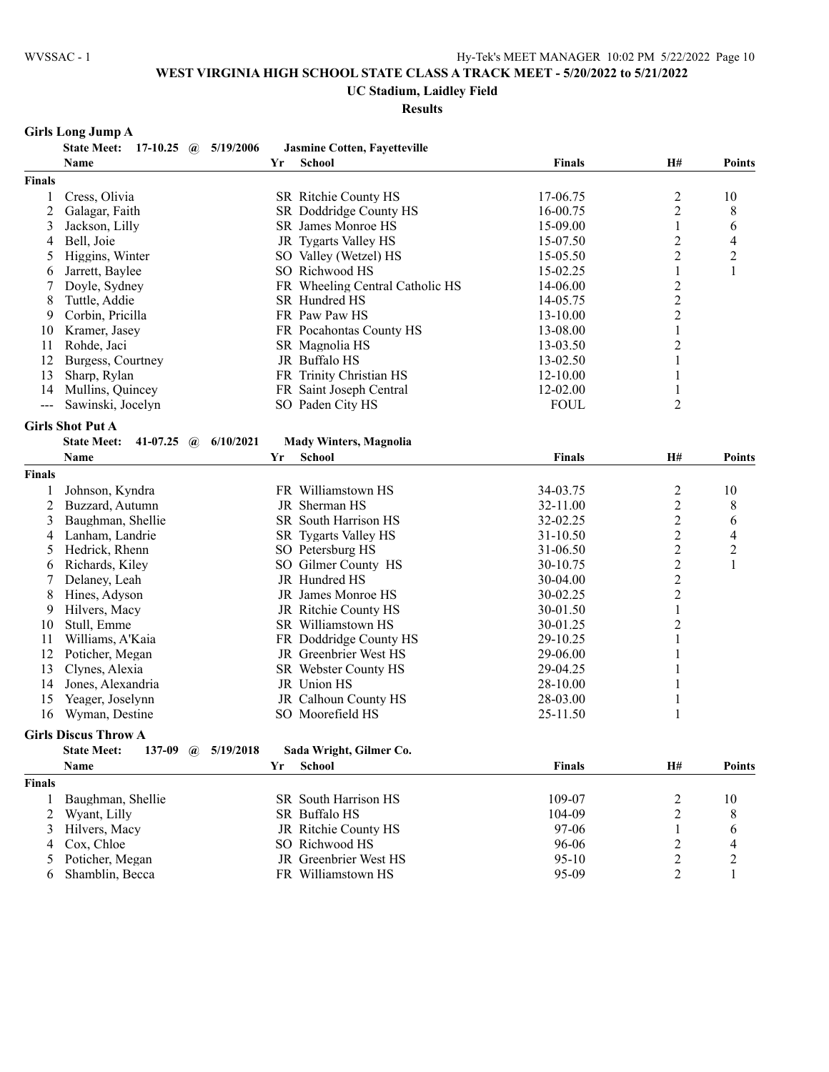#### **UC Stadium, Laidley Field**

**Results**

# **Girls Long Jump A**

|               | <b>State Meet:</b>          |                   | 17-10.25 $\omega$ 5/19/2006 |    | <b>Jasmine Cotten, Fayetteville</b> |               |                         |                          |
|---------------|-----------------------------|-------------------|-----------------------------|----|-------------------------------------|---------------|-------------------------|--------------------------|
|               | Name                        |                   |                             | Yr | <b>School</b>                       | <b>Finals</b> | H#                      | <b>Points</b>            |
| <b>Finals</b> |                             |                   |                             |    |                                     |               |                         |                          |
| 1             | Cress, Olivia               |                   |                             |    | SR Ritchie County HS                | 17-06.75      | $\overline{c}$          | 10                       |
| 2             | Galagar, Faith              |                   |                             |    | SR Doddridge County HS              | 16-00.75      | 2                       | 8                        |
| 3             | Jackson, Lilly              |                   |                             |    | SR James Monroe HS                  | 15-09.00      | 1                       | 6                        |
| 4             | Bell, Joie                  |                   |                             |    | JR Tygarts Valley HS                | 15-07.50      | $\overline{c}$          | $\overline{\mathcal{L}}$ |
| 5             | Higgins, Winter             |                   |                             |    | SO Valley (Wetzel) HS               | 15-05.50      | $\overline{c}$          | $\overline{c}$           |
| 6             | Jarrett, Baylee             |                   |                             |    | SO Richwood HS                      | 15-02.25      | 1                       | 1                        |
| 7             | Doyle, Sydney               |                   |                             |    | FR Wheeling Central Catholic HS     | 14-06.00      | $\overline{\mathbf{c}}$ |                          |
| 8             | Tuttle, Addie               |                   |                             |    | SR Hundred HS                       | 14-05.75      | $\overline{c}$          |                          |
| 9             | Corbin, Pricilla            |                   |                             |    | FR Paw Paw HS                       | 13-10.00      | $\overline{2}$          |                          |
| 10            | Kramer, Jasey               |                   |                             |    | FR Pocahontas County HS             | 13-08.00      | $\mathbf{1}$            |                          |
| 11            | Rohde, Jaci                 |                   |                             |    | SR Magnolia HS                      | 13-03.50      | $\overline{c}$          |                          |
| 12            | Burgess, Courtney           |                   |                             |    | JR Buffalo HS                       | 13-02.50      | 1                       |                          |
| 13            | Sharp, Rylan                |                   |                             |    | FR Trinity Christian HS             | 12-10.00      | 1                       |                          |
| 14            | Mullins, Quincey            |                   |                             |    | FR Saint Joseph Central             | 12-02.00      | 1                       |                          |
| $---$         | Sawinski, Jocelyn           |                   |                             |    | SO Paden City HS                    | <b>FOUL</b>   | 2                       |                          |
|               |                             |                   |                             |    |                                     |               |                         |                          |
|               | <b>Girls Shot Put A</b>     |                   |                             |    |                                     |               |                         |                          |
|               | <b>State Meet:</b>          | 41-07.25 $\omega$ | 6/10/2021                   |    | <b>Mady Winters, Magnolia</b>       |               |                         |                          |
|               | Name                        |                   |                             | Yr | <b>School</b>                       | <b>Finals</b> | H#                      | <b>Points</b>            |
| <b>Finals</b> |                             |                   |                             |    |                                     |               |                         |                          |
| 1             | Johnson, Kyndra             |                   |                             |    | FR Williamstown HS                  | 34-03.75      | $\overline{c}$          | 10                       |
| 2             | Buzzard, Autumn             |                   |                             |    | JR Sherman HS                       | 32-11.00      | $\overline{c}$          | 8                        |
| 3             | Baughman, Shellie           |                   |                             |    | SR South Harrison HS                | 32-02.25      | $\overline{c}$          | 6                        |
| 4             | Lanham, Landrie             |                   |                             |    | SR Tygarts Valley HS                | 31-10.50      | $\overline{c}$          | 4                        |
| 5             | Hedrick, Rhenn              |                   |                             |    | SO Petersburg HS                    | 31-06.50      | $\overline{c}$          | $\overline{c}$           |
| 6             | Richards, Kiley             |                   |                             |    | SO Gilmer County HS                 | 30-10.75      | $\overline{2}$          | $\mathbf{1}$             |
| 7             | Delaney, Leah               |                   |                             |    | JR Hundred HS                       | 30-04.00      | $\overline{c}$          |                          |
| 8             | Hines, Adyson               |                   |                             |    | JR James Monroe HS                  | 30-02.25      | $\overline{c}$          |                          |
| 9             | Hilvers, Macy               |                   |                             |    | JR Ritchie County HS                | 30-01.50      | 1                       |                          |
| 10            | Stull, Emme                 |                   |                             |    | SR Williamstown HS                  | 30-01.25      | $\overline{c}$          |                          |
| 11            | Williams, A'Kaia            |                   |                             |    | FR Doddridge County HS              | 29-10.25      | 1                       |                          |
| 12            | Poticher, Megan             |                   |                             |    | JR Greenbrier West HS               | 29-06.00      |                         |                          |
| 13            | Clynes, Alexia              |                   |                             |    | SR Webster County HS                | 29-04.25      |                         |                          |
| 14            | Jones, Alexandria           |                   |                             |    | JR Union HS                         | 28-10.00      |                         |                          |
| 15            | Yeager, Joselynn            |                   |                             |    | JR Calhoun County HS                | 28-03.00      | 1                       |                          |
| 16            | Wyman, Destine              |                   |                             |    | SO Moorefield HS                    | 25-11.50      | 1                       |                          |
|               |                             |                   |                             |    |                                     |               |                         |                          |
|               | <b>Girls Discus Throw A</b> |                   |                             |    |                                     |               |                         |                          |
|               | <b>State Meet:</b>          |                   | 137-09 @ 5/19/2018          |    | Sada Wright, Gilmer Co.             |               |                         |                          |
|               | Name                        |                   |                             |    | Yr School                           | <b>Finals</b> | H#                      | <b>Points</b>            |
| <b>Finals</b> |                             |                   |                             |    |                                     |               |                         |                          |
| 1             | Baughman, Shellie           |                   |                             |    | SR South Harrison HS                | 109-07        | $\overline{c}$          | 10                       |
| 2             | Wyant, Lilly                |                   |                             |    | SR Buffalo HS                       | 104-09        | $\overline{2}$          | 8                        |
| 3             | Hilvers, Macy               |                   |                             |    | JR Ritchie County HS                | 97-06         |                         | 6                        |
| 4             | Cox, Chloe                  |                   |                             |    | SO Richwood HS                      | 96-06         | $\overline{c}$          | 4                        |
| 5             | Poticher, Megan             |                   |                             |    | JR Greenbrier West HS               | $95-10$       | $\overline{c}$          | $\overline{\mathbf{c}}$  |
| 6             | Shamblin, Becca             |                   |                             |    | FR Williamstown HS                  | 95-09         | $\overline{2}$          | $\mathbf{1}$             |
|               |                             |                   |                             |    |                                     |               |                         |                          |